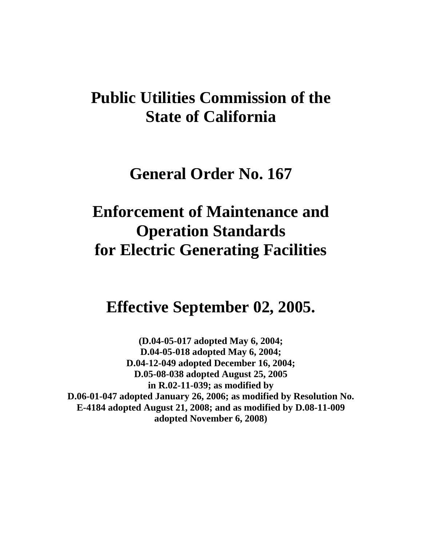# **Public Utilities Commission of the State of California**

# **General Order No. 167**

# **Enforcement of Maintenance and Operation Standards for Electric Generating Facilities**

# **Effective September 02, 2005.**

**(D.04-05-017 adopted May 6, 2004; D.04-05-018 adopted May 6, 2004; D.04-12-049 adopted December 16, 2004; D.05-08-038 adopted August 25, 2005 in R.02-11-039; as modified by D.06-01-047 adopted January 26, 2006; as modified by Resolution No. E-4184 adopted August 21, 2008; and as modified by D.08-11-009 adopted November 6, 2008)**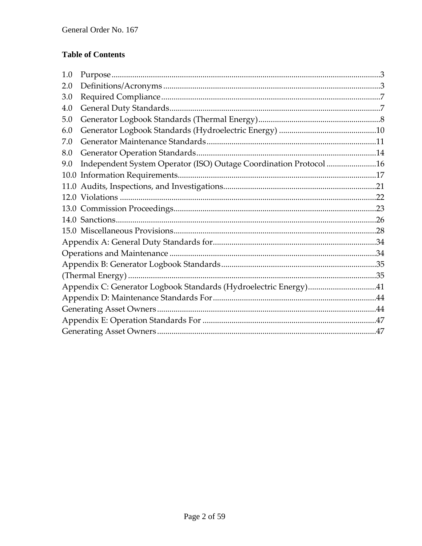## **Table of Contents**

| 1.0 |                                                                   |  |  |
|-----|-------------------------------------------------------------------|--|--|
| 2.0 |                                                                   |  |  |
| 3.0 |                                                                   |  |  |
| 4.0 |                                                                   |  |  |
| 5.0 |                                                                   |  |  |
| 6.0 |                                                                   |  |  |
| 7.0 |                                                                   |  |  |
| 8.0 |                                                                   |  |  |
| 9.0 | Independent System Operator (ISO) Outage Coordination Protocol 16 |  |  |
|     |                                                                   |  |  |
|     |                                                                   |  |  |
|     |                                                                   |  |  |
|     |                                                                   |  |  |
|     |                                                                   |  |  |
|     |                                                                   |  |  |
|     |                                                                   |  |  |
|     |                                                                   |  |  |
|     |                                                                   |  |  |
|     |                                                                   |  |  |
|     | Appendix C: Generator Logbook Standards (Hydroelectric Energy)41  |  |  |
|     |                                                                   |  |  |
|     |                                                                   |  |  |
|     |                                                                   |  |  |
|     |                                                                   |  |  |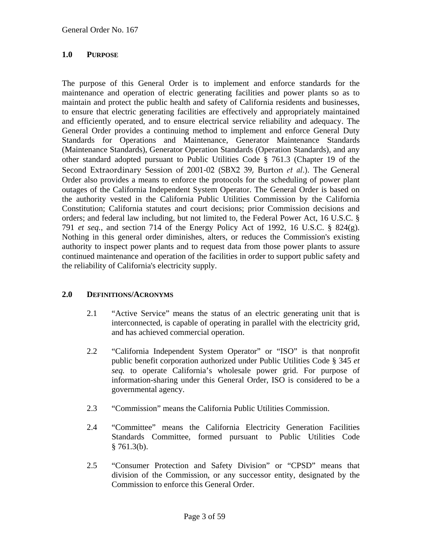#### **1.0 PURPOSE**

The purpose of this General Order is to implement and enforce standards for the maintenance and operation of electric generating facilities and power plants so as to maintain and protect the public health and safety of California residents and businesses, to ensure that electric generating facilities are effectively and appropriately maintained and efficiently operated, and to ensure electrical service reliability and adequacy. The General Order provides a continuing method to implement and enforce General Duty Standards for Operations and Maintenance, Generator Maintenance Standards (Maintenance Standards), Generator Operation Standards (Operation Standards), and any other standard adopted pursuant to Public Utilities Code § 761.3 (Chapter 19 of the Second Extraordinary Session of 2001-02 (SBX2 39, Burton *et al*.). The General Order also provides a means to enforce the protocols for the scheduling of power plant outages of the California Independent System Operator. The General Order is based on the authority vested in the California Public Utilities Commission by the California Constitution; California statutes and court decisions; prior Commission decisions and orders; and federal law including, but not limited to, the Federal Power Act, 16 U.S.C. § 791 *et seq.*, and section 714 of the Energy Policy Act of 1992, 16 U.S.C. § 824(g). Nothing in this general order diminishes, alters, or reduces the Commission's existing authority to inspect power plants and to request data from those power plants to assure continued maintenance and operation of the facilities in order to support public safety and the reliability of California's electricity supply.

#### **2.0 DEFINITIONS/ACRONYMS**

- 2.1 "Active Service" means the status of an electric generating unit that is interconnected, is capable of operating in parallel with the electricity grid, and has achieved commercial operation.
- 2.2 "California Independent System Operator" or "ISO" is that nonprofit public benefit corporation authorized under Public Utilities Code § 345 *et seq.* to operate California's wholesale power grid. For purpose of information-sharing under this General Order, ISO is considered to be a governmental agency.
- 2.3 "Commission" means the California Public Utilities Commission.
- 2.4 "Committee" means the California Electricity Generation Facilities Standards Committee, formed pursuant to Public Utilities Code  $§ 761.3(b).$
- 2.5 "Consumer Protection and Safety Division" or "CPSD" means that division of the Commission, or any successor entity, designated by the Commission to enforce this General Order.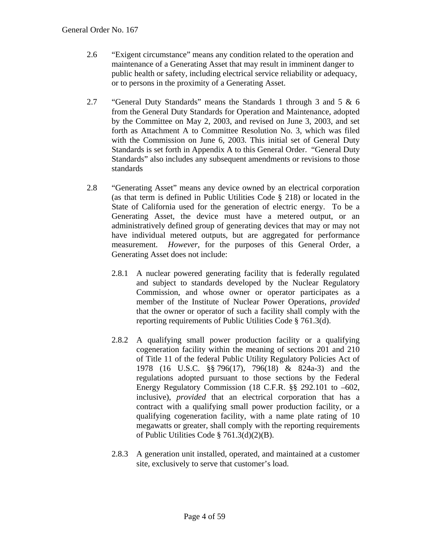- 2.6 "Exigent circumstance" means any condition related to the operation and maintenance of a Generating Asset that may result in imminent danger to public health or safety, including electrical service reliability or adequacy, or to persons in the proximity of a Generating Asset.
- 2.7 "General Duty Standards" means the Standards 1 through 3 and 5 & 6 from the General Duty Standards for Operation and Maintenance, adopted by the Committee on May 2, 2003, and revised on June 3, 2003, and set forth as Attachment A to Committee Resolution No. 3, which was filed with the Commission on June 6, 2003. This initial set of General Duty Standards is set forth in Appendix A to this General Order. "General Duty Standards" also includes any subsequent amendments or revisions to those standards
- 2.8 "Generating Asset" means any device owned by an electrical corporation (as that term is defined in Public Utilities Code § 218) or located in the State of California used for the generation of electric energy. To be a Generating Asset, the device must have a metered output, or an administratively defined group of generating devices that may or may not have individual metered outputs, but are aggregated for performance measurement. *However*, for the purposes of this General Order, a Generating Asset does not include:
	- 2.8.1 A nuclear powered generating facility that is federally regulated and subject to standards developed by the Nuclear Regulatory Commission, and whose owner or operator participates as a member of the Institute of Nuclear Power Operations, *provided* that the owner or operator of such a facility shall comply with the reporting requirements of Public Utilities Code § 761.3(d).
	- 2.8.2 A qualifying small power production facility or a qualifying cogeneration facility within the meaning of sections 201 and 210 of Title 11 of the federal Public Utility Regulatory Policies Act of 1978 (16 U.S.C. §§ 796(17), 796(18) & 824a-3) and the regulations adopted pursuant to those sections by the Federal Energy Regulatory Commission (18 C.F.R. §§ 292.101 to –602, inclusive), *provided* that an electrical corporation that has a contract with a qualifying small power production facility, or a qualifying cogeneration facility, with a name plate rating of 10 megawatts or greater, shall comply with the reporting requirements of Public Utilities Code § 761.3(d)(2)(B).
	- 2.8.3 A generation unit installed, operated, and maintained at a customer site, exclusively to serve that customer's load.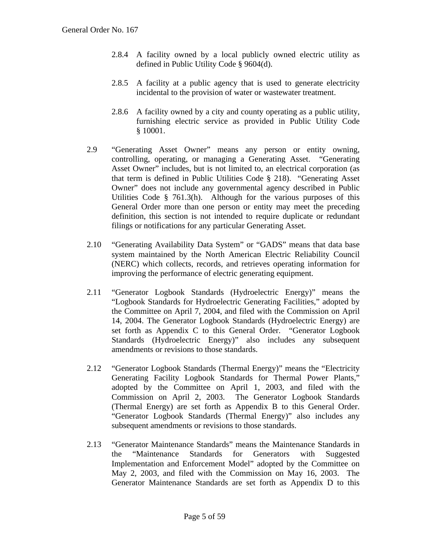- 2.8.4 A facility owned by a local publicly owned electric utility as defined in Public Utility Code § 9604(d).
- 2.8.5 A facility at a public agency that is used to generate electricity incidental to the provision of water or wastewater treatment.
- 2.8.6 A facility owned by a city and county operating as a public utility, furnishing electric service as provided in Public Utility Code § 10001.
- 2.9 "Generating Asset Owner" means any person or entity owning, controlling, operating, or managing a Generating Asset. "Generating Asset Owner" includes, but is not limited to, an electrical corporation (as that term is defined in Public Utilities Code § 218). "Generating Asset Owner" does not include any governmental agency described in Public Utilities Code § 761.3(h). Although for the various purposes of this General Order more than one person or entity may meet the preceding definition, this section is not intended to require duplicate or redundant filings or notifications for any particular Generating Asset.
- 2.10 "Generating Availability Data System" or "GADS" means that data base system maintained by the North American Electric Reliability Council (NERC) which collects, records, and retrieves operating information for improving the performance of electric generating equipment.
- 2.11 "Generator Logbook Standards (Hydroelectric Energy)" means the "Logbook Standards for Hydroelectric Generating Facilities," adopted by the Committee on April 7, 2004, and filed with the Commission on April 14, 2004. The Generator Logbook Standards (Hydroelectric Energy) are set forth as Appendix C to this General Order. "Generator Logbook Standards (Hydroelectric Energy)" also includes any subsequent amendments or revisions to those standards.
- 2.12 "Generator Logbook Standards (Thermal Energy)" means the "Electricity Generating Facility Logbook Standards for Thermal Power Plants," adopted by the Committee on April 1, 2003, and filed with the Commission on April 2, 2003. The Generator Logbook Standards (Thermal Energy) are set forth as Appendix B to this General Order. "Generator Logbook Standards (Thermal Energy)" also includes any subsequent amendments or revisions to those standards.
- 2.13 "Generator Maintenance Standards" means the Maintenance Standards in the "Maintenance Standards for Generators with Suggested Implementation and Enforcement Model" adopted by the Committee on May 2, 2003, and filed with the Commission on May 16, 2003. The Generator Maintenance Standards are set forth as Appendix D to this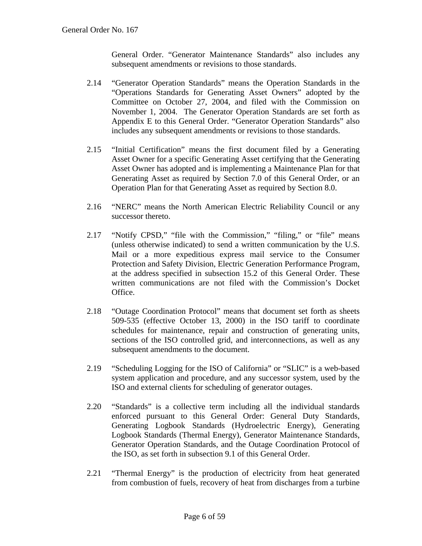General Order. "Generator Maintenance Standards" also includes any subsequent amendments or revisions to those standards.

- 2.14 "Generator Operation Standards" means the Operation Standards in the "Operations Standards for Generating Asset Owners" adopted by the Committee on October 27, 2004, and filed with the Commission on November 1, 2004. The Generator Operation Standards are set forth as Appendix E to this General Order. "Generator Operation Standards" also includes any subsequent amendments or revisions to those standards.
- 2.15 "Initial Certification" means the first document filed by a Generating Asset Owner for a specific Generating Asset certifying that the Generating Asset Owner has adopted and is implementing a Maintenance Plan for that Generating Asset as required by Section 7.0 of this General Order, or an Operation Plan for that Generating Asset as required by Section 8.0.
- 2.16 "NERC" means the North American Electric Reliability Council or any successor thereto.
- 2.17 "Notify CPSD," "file with the Commission," "filing," or "file" means (unless otherwise indicated) to send a written communication by the U.S. Mail or a more expeditious express mail service to the Consumer Protection and Safety Division, Electric Generation Performance Program, at the address specified in subsection 15.2 of this General Order. These written communications are not filed with the Commission's Docket Office.
- 2.18 "Outage Coordination Protocol" means that document set forth as sheets 509-535 (effective October 13, 2000) in the ISO tariff to coordinate schedules for maintenance, repair and construction of generating units, sections of the ISO controlled grid, and interconnections, as well as any subsequent amendments to the document.
- 2.19 "Scheduling Logging for the ISO of California" or "SLIC" is a web-based system application and procedure, and any successor system, used by the ISO and external clients for scheduling of generator outages.
- 2.20 "Standards" is a collective term including all the individual standards enforced pursuant to this General Order: General Duty Standards, Generating Logbook Standards (Hydroelectric Energy), Generating Logbook Standards (Thermal Energy), Generator Maintenance Standards, Generator Operation Standards, and the Outage Coordination Protocol of the ISO, as set forth in subsection 9.1 of this General Order.
- 2.21 "Thermal Energy" is the production of electricity from heat generated from combustion of fuels, recovery of heat from discharges from a turbine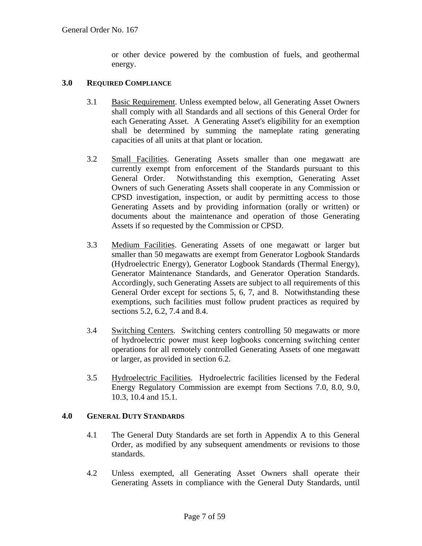or other device powered by the combustion of fuels, and geothermal energy.

#### **3.0 REQUIRED COMPLIANCE**

- 3.1 Basic Requirement. Unless exempted below, all Generating Asset Owners shall comply with all Standards and all sections of this General Order for each Generating Asset. A Generating Asset's eligibility for an exemption shall be determined by summing the nameplate rating generating capacities of all units at that plant or location.
- 3.2 Small Facilities. Generating Assets smaller than one megawatt are currently exempt from enforcement of the Standards pursuant to this General Order. Notwithstanding this exemption, Generating Asset Owners of such Generating Assets shall cooperate in any Commission or CPSD investigation, inspection, or audit by permitting access to those Generating Assets and by providing information (orally or written) or documents about the maintenance and operation of those Generating Assets if so requested by the Commission or CPSD.
- 3.3 Medium Facilities. Generating Assets of one megawatt or larger but smaller than 50 megawatts are exempt from Generator Logbook Standards (Hydroelectric Energy), Generator Logbook Standards (Thermal Energy), Generator Maintenance Standards, and Generator Operation Standards. Accordingly, such Generating Assets are subject to all requirements of this General Order except for sections 5, 6, 7, and 8. Notwithstanding these exemptions, such facilities must follow prudent practices as required by sections 5.2, 6.2, 7.4 and 8.4.
- 3.4 Switching Centers. Switching centers controlling 50 megawatts or more of hydroelectric power must keep logbooks concerning switching center operations for all remotely controlled Generating Assets of one megawatt or larger, as provided in section 6.2.
- 3.5 Hydroelectric Facilities. Hydroelectric facilities licensed by the Federal Energy Regulatory Commission are exempt from Sections 7.0, 8.0, 9.0, 10.3, 10.4 and 15.1.

#### **4.0 GENERAL DUTY STANDARDS**

- 4.1 The General Duty Standards are set forth in Appendix A to this General Order, as modified by any subsequent amendments or revisions to those standards.
- 4.2 Unless exempted, all Generating Asset Owners shall operate their Generating Assets in compliance with the General Duty Standards, until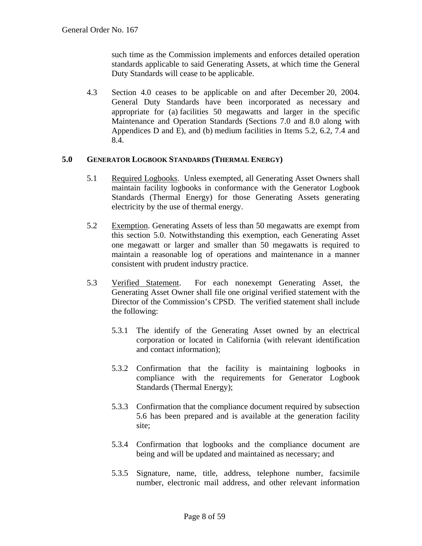such time as the Commission implements and enforces detailed operation standards applicable to said Generating Assets, at which time the General Duty Standards will cease to be applicable.

4.3 Section 4.0 ceases to be applicable on and after December 20, 2004. General Duty Standards have been incorporated as necessary and appropriate for (a) facilities 50 megawatts and larger in the specific Maintenance and Operation Standards (Sections 7.0 and 8.0 along with Appendices D and E), and (b) medium facilities in Items 5.2, 6.2, 7.4 and 8.4.

#### **5.0 GENERATOR LOGBOOK STANDARDS (THERMAL ENERGY)**

- 5.1 Required Logbooks. Unless exempted, all Generating Asset Owners shall maintain facility logbooks in conformance with the Generator Logbook Standards (Thermal Energy) for those Generating Assets generating electricity by the use of thermal energy.
- 5.2 Exemption. Generating Assets of less than 50 megawatts are exempt from this section 5.0. Notwithstanding this exemption, each Generating Asset one megawatt or larger and smaller than 50 megawatts is required to maintain a reasonable log of operations and maintenance in a manner consistent with prudent industry practice.
- 5.3 Verified Statement. For each nonexempt Generating Asset, the Generating Asset Owner shall file one original verified statement with the Director of the Commission's CPSD. The verified statement shall include the following:
	- 5.3.1 The identify of the Generating Asset owned by an electrical corporation or located in California (with relevant identification and contact information);
	- 5.3.2 Confirmation that the facility is maintaining logbooks in compliance with the requirements for Generator Logbook Standards (Thermal Energy);
	- 5.3.3 Confirmation that the compliance document required by subsection 5.6 has been prepared and is available at the generation facility site;
	- 5.3.4 Confirmation that logbooks and the compliance document are being and will be updated and maintained as necessary; and
	- 5.3.5 Signature, name, title, address, telephone number, facsimile number, electronic mail address, and other relevant information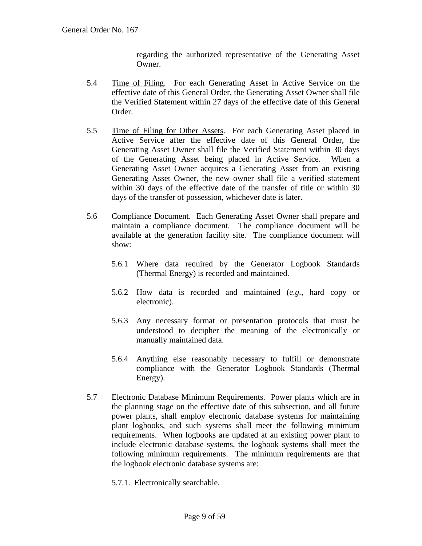regarding the authorized representative of the Generating Asset Owner.

- 5.4 Time of Filing. For each Generating Asset in Active Service on the effective date of this General Order, the Generating Asset Owner shall file the Verified Statement within 27 days of the effective date of this General Order.
- 5.5 Time of Filing for Other Assets. For each Generating Asset placed in Active Service after the effective date of this General Order, the Generating Asset Owner shall file the Verified Statement within 30 days of the Generating Asset being placed in Active Service. When a Generating Asset Owner acquires a Generating Asset from an existing Generating Asset Owner, the new owner shall file a verified statement within 30 days of the effective date of the transfer of title or within 30 days of the transfer of possession, whichever date is later.
- 5.6 Compliance Document. Each Generating Asset Owner shall prepare and maintain a compliance document. The compliance document will be available at the generation facility site. The compliance document will show:
	- 5.6.1 Where data required by the Generator Logbook Standards (Thermal Energy) is recorded and maintained.
	- 5.6.2 How data is recorded and maintained (*e.g.,* hard copy or electronic).
	- 5.6.3 Any necessary format or presentation protocols that must be understood to decipher the meaning of the electronically or manually maintained data.
	- 5.6.4 Anything else reasonably necessary to fulfill or demonstrate compliance with the Generator Logbook Standards (Thermal Energy).
- 5.7 Electronic Database Minimum Requirements. Power plants which are in the planning stage on the effective date of this subsection, and all future power plants, shall employ electronic database systems for maintaining plant logbooks, and such systems shall meet the following minimum requirements. When logbooks are updated at an existing power plant to include electronic database systems, the logbook systems shall meet the following minimum requirements. The minimum requirements are that the logbook electronic database systems are:
	- 5.7.1. Electronically searchable.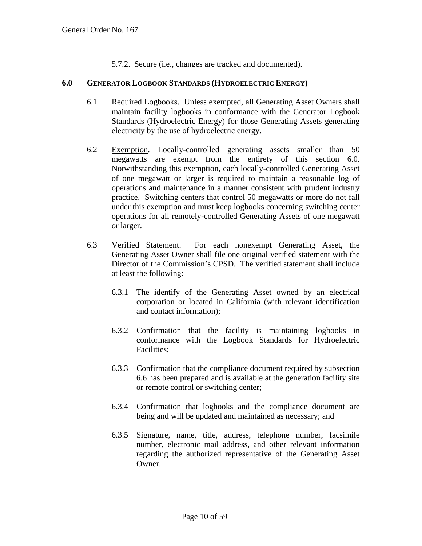5.7.2. Secure (i.e., changes are tracked and documented).

#### **6.0 GENERATOR LOGBOOK STANDARDS (HYDROELECTRIC ENERGY)**

- 6.1 Required Logbooks. Unless exempted, all Generating Asset Owners shall maintain facility logbooks in conformance with the Generator Logbook Standards (Hydroelectric Energy) for those Generating Assets generating electricity by the use of hydroelectric energy.
- 6.2 Exemption. Locally-controlled generating assets smaller than 50 megawatts are exempt from the entirety of this section 6.0. Notwithstanding this exemption, each locally-controlled Generating Asset of one megawatt or larger is required to maintain a reasonable log of operations and maintenance in a manner consistent with prudent industry practice. Switching centers that control 50 megawatts or more do not fall under this exemption and must keep logbooks concerning switching center operations for all remotely-controlled Generating Assets of one megawatt or larger.
- 6.3 Verified Statement. For each nonexempt Generating Asset, the Generating Asset Owner shall file one original verified statement with the Director of the Commission's CPSD. The verified statement shall include at least the following:
	- 6.3.1 The identify of the Generating Asset owned by an electrical corporation or located in California (with relevant identification and contact information);
	- 6.3.2 Confirmation that the facility is maintaining logbooks in conformance with the Logbook Standards for Hydroelectric Facilities;
	- 6.3.3 Confirmation that the compliance document required by subsection 6.6 has been prepared and is available at the generation facility site or remote control or switching center;
	- 6.3.4 Confirmation that logbooks and the compliance document are being and will be updated and maintained as necessary; and
	- 6.3.5 Signature, name, title, address, telephone number, facsimile number, electronic mail address, and other relevant information regarding the authorized representative of the Generating Asset Owner.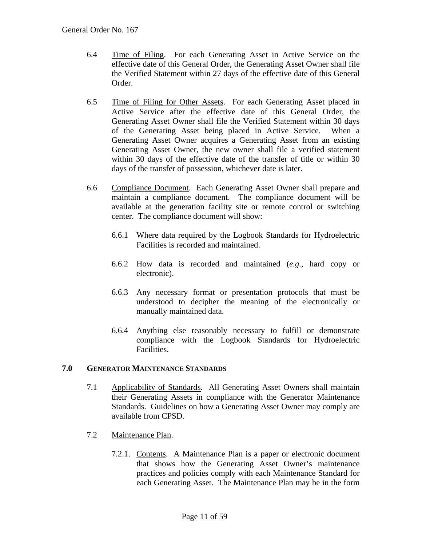- 6.4 Time of Filing. For each Generating Asset in Active Service on the effective date of this General Order, the Generating Asset Owner shall file the Verified Statement within 27 days of the effective date of this General Order.
- 6.5 Time of Filing for Other Assets. For each Generating Asset placed in Active Service after the effective date of this General Order, the Generating Asset Owner shall file the Verified Statement within 30 days of the Generating Asset being placed in Active Service. When a Generating Asset Owner acquires a Generating Asset from an existing Generating Asset Owner, the new owner shall file a verified statement within 30 days of the effective date of the transfer of title or within 30 days of the transfer of possession, whichever date is later.
- 6.6 Compliance Document. Each Generating Asset Owner shall prepare and maintain a compliance document. The compliance document will be available at the generation facility site or remote control or switching center. The compliance document will show:
	- 6.6.1 Where data required by the Logbook Standards for Hydroelectric Facilities is recorded and maintained.
	- 6.6.2 How data is recorded and maintained (*e.g.,* hard copy or electronic).
	- 6.6.3 Any necessary format or presentation protocols that must be understood to decipher the meaning of the electronically or manually maintained data.
	- 6.6.4 Anything else reasonably necessary to fulfill or demonstrate compliance with the Logbook Standards for Hydroelectric Facilities.

#### **7.0 GENERATOR MAINTENANCE STANDARDS**

- 7.1 Applicability of Standards. All Generating Asset Owners shall maintain their Generating Assets in compliance with the Generator Maintenance Standards. Guidelines on how a Generating Asset Owner may comply are available from CPSD.
- 7.2 Maintenance Plan.
	- 7.2.1. Contents. A Maintenance Plan is a paper or electronic document that shows how the Generating Asset Owner's maintenance practices and policies comply with each Maintenance Standard for each Generating Asset. The Maintenance Plan may be in the form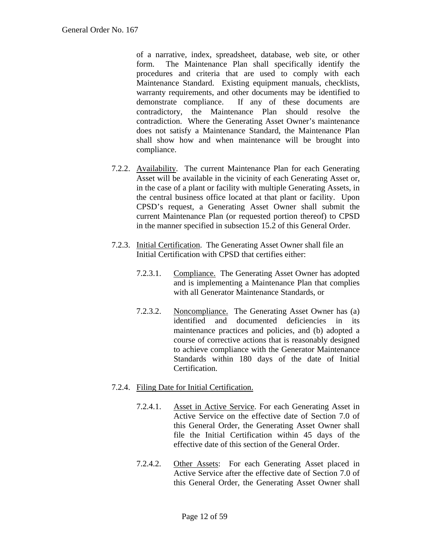of a narrative, index, spreadsheet, database, web site, or other form. The Maintenance Plan shall specifically identify the procedures and criteria that are used to comply with each Maintenance Standard. Existing equipment manuals, checklists, warranty requirements, and other documents may be identified to demonstrate compliance. If any of these documents are contradictory, the Maintenance Plan should resolve the contradiction. Where the Generating Asset Owner's maintenance does not satisfy a Maintenance Standard, the Maintenance Plan shall show how and when maintenance will be brought into compliance.

- 7.2.2. Availability. The current Maintenance Plan for each Generating Asset will be available in the vicinity of each Generating Asset or, in the case of a plant or facility with multiple Generating Assets, in the central business office located at that plant or facility. Upon CPSD's request, a Generating Asset Owner shall submit the current Maintenance Plan (or requested portion thereof) to CPSD in the manner specified in subsection 15.2 of this General Order.
- 7.2.3. Initial Certification. The Generating Asset Owner shall file an Initial Certification with CPSD that certifies either:
	- 7.2.3.1. Compliance. The Generating Asset Owner has adopted and is implementing a Maintenance Plan that complies with all Generator Maintenance Standards, or
	- 7.2.3.2. Noncompliance. The Generating Asset Owner has (a) identified and documented deficiencies in its maintenance practices and policies, and (b) adopted a course of corrective actions that is reasonably designed to achieve compliance with the Generator Maintenance Standards within 180 days of the date of Initial Certification.

#### 7.2.4. Filing Date for Initial Certification.

- 7.2.4.1. Asset in Active Service. For each Generating Asset in Active Service on the effective date of Section 7.0 of this General Order, the Generating Asset Owner shall file the Initial Certification within 45 days of the effective date of this section of the General Order.
- 7.2.4.2. Other Assets: For each Generating Asset placed in Active Service after the effective date of Section 7.0 of this General Order, the Generating Asset Owner shall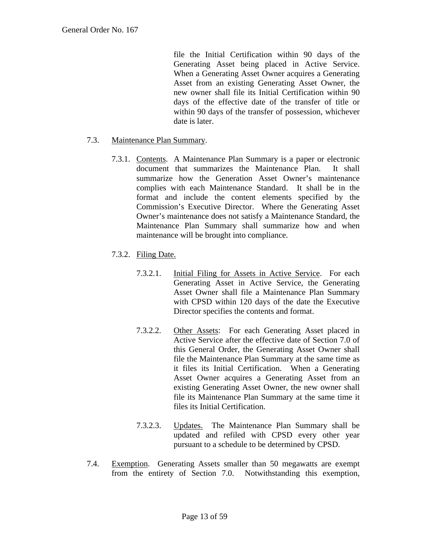file the Initial Certification within 90 days of the Generating Asset being placed in Active Service. When a Generating Asset Owner acquires a Generating Asset from an existing Generating Asset Owner, the new owner shall file its Initial Certification within 90 days of the effective date of the transfer of title or within 90 days of the transfer of possession, whichever date is later.

#### 7.3. Maintenance Plan Summary.

- 7.3.1. Contents. A Maintenance Plan Summary is a paper or electronic document that summarizes the Maintenance Plan. It shall summarize how the Generation Asset Owner's maintenance complies with each Maintenance Standard. It shall be in the format and include the content elements specified by the Commission's Executive Director. Where the Generating Asset Owner's maintenance does not satisfy a Maintenance Standard, the Maintenance Plan Summary shall summarize how and when maintenance will be brought into compliance.
- 7.3.2. Filing Date.
	- 7.3.2.1. Initial Filing for Assets in Active Service. For each Generating Asset in Active Service, the Generating Asset Owner shall file a Maintenance Plan Summary with CPSD within 120 days of the date the Executive Director specifies the contents and format.
	- 7.3.2.2. Other Assets: For each Generating Asset placed in Active Service after the effective date of Section 7.0 of this General Order, the Generating Asset Owner shall file the Maintenance Plan Summary at the same time as it files its Initial Certification. When a Generating Asset Owner acquires a Generating Asset from an existing Generating Asset Owner, the new owner shall file its Maintenance Plan Summary at the same time it files its Initial Certification.
	- 7.3.2.3. Updates. The Maintenance Plan Summary shall be updated and refiled with CPSD every other year pursuant to a schedule to be determined by CPSD.
- 7.4. Exemption. Generating Assets smaller than 50 megawatts are exempt from the entirety of Section 7.0. Notwithstanding this exemption,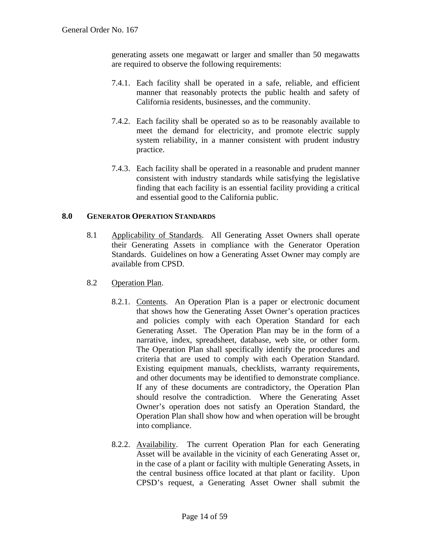generating assets one megawatt or larger and smaller than 50 megawatts are required to observe the following requirements:

- 7.4.1. Each facility shall be operated in a safe, reliable, and efficient manner that reasonably protects the public health and safety of California residents, businesses, and the community.
- 7.4.2. Each facility shall be operated so as to be reasonably available to meet the demand for electricity, and promote electric supply system reliability, in a manner consistent with prudent industry practice.
- 7.4.3. Each facility shall be operated in a reasonable and prudent manner consistent with industry standards while satisfying the legislative finding that each facility is an essential facility providing a critical and essential good to the California public.

#### **8.0 GENERATOR OPERATION STANDARDS**

- 8.1 Applicability of Standards. All Generating Asset Owners shall operate their Generating Assets in compliance with the Generator Operation Standards. Guidelines on how a Generating Asset Owner may comply are available from CPSD.
- 8.2 Operation Plan.
	- 8.2.1. Contents. An Operation Plan is a paper or electronic document that shows how the Generating Asset Owner's operation practices and policies comply with each Operation Standard for each Generating Asset. The Operation Plan may be in the form of a narrative, index, spreadsheet, database, web site, or other form. The Operation Plan shall specifically identify the procedures and criteria that are used to comply with each Operation Standard. Existing equipment manuals, checklists, warranty requirements, and other documents may be identified to demonstrate compliance. If any of these documents are contradictory, the Operation Plan should resolve the contradiction. Where the Generating Asset Owner's operation does not satisfy an Operation Standard, the Operation Plan shall show how and when operation will be brought into compliance.
	- 8.2.2. Availability. The current Operation Plan for each Generating Asset will be available in the vicinity of each Generating Asset or, in the case of a plant or facility with multiple Generating Assets, in the central business office located at that plant or facility. Upon CPSD's request, a Generating Asset Owner shall submit the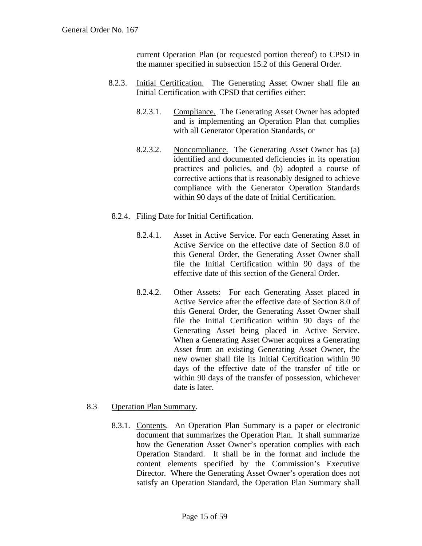current Operation Plan (or requested portion thereof) to CPSD in the manner specified in subsection 15.2 of this General Order.

- 8.2.3. Initial Certification. The Generating Asset Owner shall file an Initial Certification with CPSD that certifies either:
	- 8.2.3.1. Compliance. The Generating Asset Owner has adopted and is implementing an Operation Plan that complies with all Generator Operation Standards, or
	- 8.2.3.2. Noncompliance. The Generating Asset Owner has (a) identified and documented deficiencies in its operation practices and policies, and (b) adopted a course of corrective actions that is reasonably designed to achieve compliance with the Generator Operation Standards within 90 days of the date of Initial Certification.

#### 8.2.4. Filing Date for Initial Certification.

- 8.2.4.1. Asset in Active Service. For each Generating Asset in Active Service on the effective date of Section 8.0 of this General Order, the Generating Asset Owner shall file the Initial Certification within 90 days of the effective date of this section of the General Order.
- 8.2.4.2. Other Assets: For each Generating Asset placed in Active Service after the effective date of Section 8.0 of this General Order, the Generating Asset Owner shall file the Initial Certification within 90 days of the Generating Asset being placed in Active Service. When a Generating Asset Owner acquires a Generating Asset from an existing Generating Asset Owner, the new owner shall file its Initial Certification within 90 days of the effective date of the transfer of title or within 90 days of the transfer of possession, whichever date is later.
- 8.3 Operation Plan Summary.
	- 8.3.1. Contents. An Operation Plan Summary is a paper or electronic document that summarizes the Operation Plan. It shall summarize how the Generation Asset Owner's operation complies with each Operation Standard. It shall be in the format and include the content elements specified by the Commission's Executive Director. Where the Generating Asset Owner's operation does not satisfy an Operation Standard, the Operation Plan Summary shall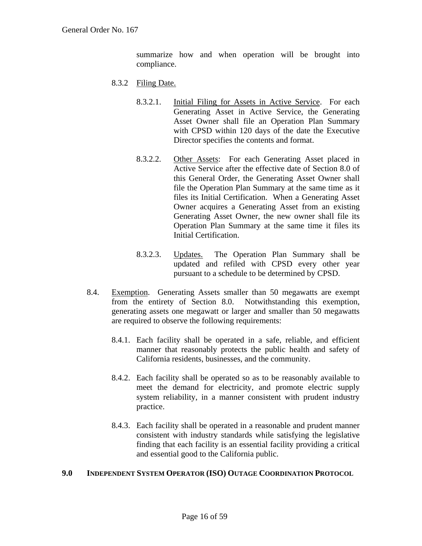summarize how and when operation will be brought into compliance.

- 8.3.2 Filing Date.
	- 8.3.2.1. Initial Filing for Assets in Active Service. For each Generating Asset in Active Service, the Generating Asset Owner shall file an Operation Plan Summary with CPSD within 120 days of the date the Executive Director specifies the contents and format.
	- 8.3.2.2. Other Assets: For each Generating Asset placed in Active Service after the effective date of Section 8.0 of this General Order, the Generating Asset Owner shall file the Operation Plan Summary at the same time as it files its Initial Certification. When a Generating Asset Owner acquires a Generating Asset from an existing Generating Asset Owner, the new owner shall file its Operation Plan Summary at the same time it files its Initial Certification.
	- 8.3.2.3. Updates. The Operation Plan Summary shall be updated and refiled with CPSD every other year pursuant to a schedule to be determined by CPSD.
- 8.4. Exemption. Generating Assets smaller than 50 megawatts are exempt from the entirety of Section 8.0. Notwithstanding this exemption, generating assets one megawatt or larger and smaller than 50 megawatts are required to observe the following requirements:
	- 8.4.1. Each facility shall be operated in a safe, reliable, and efficient manner that reasonably protects the public health and safety of California residents, businesses, and the community.
	- 8.4.2. Each facility shall be operated so as to be reasonably available to meet the demand for electricity, and promote electric supply system reliability, in a manner consistent with prudent industry practice.
	- 8.4.3. Each facility shall be operated in a reasonable and prudent manner consistent with industry standards while satisfying the legislative finding that each facility is an essential facility providing a critical and essential good to the California public.

#### **9.0 INDEPENDENT SYSTEM OPERATOR (ISO) OUTAGE COORDINATION PROTOCOL**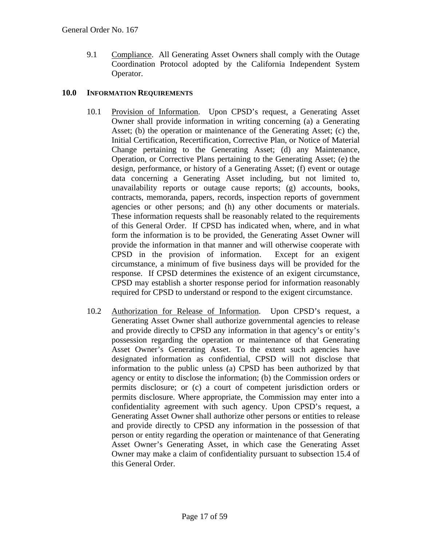9.1 Compliance. All Generating Asset Owners shall comply with the Outage Coordination Protocol adopted by the California Independent System Operator.

#### **10.0 INFORMATION REQUIREMENTS**

- 10.1 Provision of Information. Upon CPSD's request, a Generating Asset Owner shall provide information in writing concerning (a) a Generating Asset; (b) the operation or maintenance of the Generating Asset; (c) the, Initial Certification, Recertification, Corrective Plan, or Notice of Material Change pertaining to the Generating Asset; (d) any Maintenance, Operation, or Corrective Plans pertaining to the Generating Asset; (e) the design, performance, or history of a Generating Asset; (f) event or outage data concerning a Generating Asset including, but not limited to, unavailability reports or outage cause reports; (g) accounts, books, contracts, memoranda, papers, records, inspection reports of government agencies or other persons; and (h) any other documents or materials. These information requests shall be reasonably related to the requirements of this General Order. If CPSD has indicated when, where, and in what form the information is to be provided, the Generating Asset Owner will provide the information in that manner and will otherwise cooperate with CPSD in the provision of information. Except for an exigent circumstance, a minimum of five business days will be provided for the response. If CPSD determines the existence of an exigent circumstance, CPSD may establish a shorter response period for information reasonably required for CPSD to understand or respond to the exigent circumstance.
- 10.2 Authorization for Release of Information. Upon CPSD's request, a Generating Asset Owner shall authorize governmental agencies to release and provide directly to CPSD any information in that agency's or entity's possession regarding the operation or maintenance of that Generating Asset Owner's Generating Asset. To the extent such agencies have designated information as confidential, CPSD will not disclose that information to the public unless (a) CPSD has been authorized by that agency or entity to disclose the information; (b) the Commission orders or permits disclosure; or (c) a court of competent jurisdiction orders or permits disclosure. Where appropriate, the Commission may enter into a confidentiality agreement with such agency. Upon CPSD's request, a Generating Asset Owner shall authorize other persons or entities to release and provide directly to CPSD any information in the possession of that person or entity regarding the operation or maintenance of that Generating Asset Owner's Generating Asset, in which case the Generating Asset Owner may make a claim of confidentiality pursuant to subsection 15.4 of this General Order.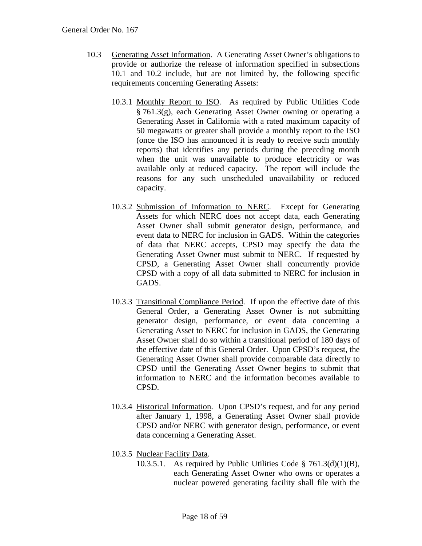- 10.3 Generating Asset Information. A Generating Asset Owner's obligations to provide or authorize the release of information specified in subsections 10.1 and 10.2 include, but are not limited by, the following specific requirements concerning Generating Assets:
	- 10.3.1 Monthly Report to ISO. As required by Public Utilities Code § 761.3(g), each Generating Asset Owner owning or operating a Generating Asset in California with a rated maximum capacity of 50 megawatts or greater shall provide a monthly report to the ISO (once the ISO has announced it is ready to receive such monthly reports) that identifies any periods during the preceding month when the unit was unavailable to produce electricity or was available only at reduced capacity. The report will include the reasons for any such unscheduled unavailability or reduced capacity.
	- 10.3.2 Submission of Information to NERC. Except for Generating Assets for which NERC does not accept data, each Generating Asset Owner shall submit generator design, performance, and event data to NERC for inclusion in GADS. Within the categories of data that NERC accepts, CPSD may specify the data the Generating Asset Owner must submit to NERC. If requested by CPSD, a Generating Asset Owner shall concurrently provide CPSD with a copy of all data submitted to NERC for inclusion in GADS.
	- 10.3.3 Transitional Compliance Period. If upon the effective date of this General Order, a Generating Asset Owner is not submitting generator design, performance, or event data concerning a Generating Asset to NERC for inclusion in GADS, the Generating Asset Owner shall do so within a transitional period of 180 days of the effective date of this General Order. Upon CPSD's request, the Generating Asset Owner shall provide comparable data directly to CPSD until the Generating Asset Owner begins to submit that information to NERC and the information becomes available to CPSD.
	- 10.3.4 Historical Information. Upon CPSD's request, and for any period after January 1, 1998, a Generating Asset Owner shall provide CPSD and/or NERC with generator design, performance, or event data concerning a Generating Asset.
	- 10.3.5 Nuclear Facility Data.
		- 10.3.5.1. As required by Public Utilities Code  $\S$  761.3(d)(1)(B), each Generating Asset Owner who owns or operates a nuclear powered generating facility shall file with the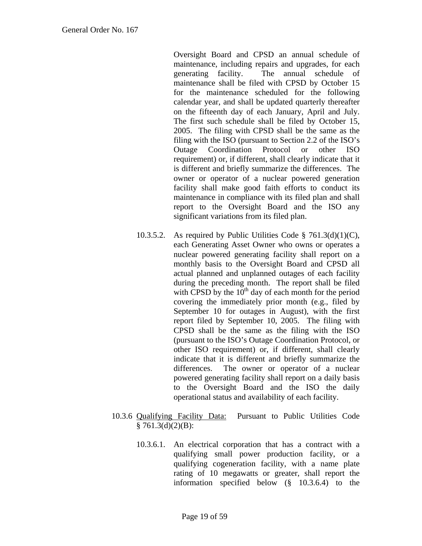Oversight Board and CPSD an annual schedule of maintenance, including repairs and upgrades, for each generating facility. The annual schedule of maintenance shall be filed with CPSD by October 15 for the maintenance scheduled for the following calendar year, and shall be updated quarterly thereafter on the fifteenth day of each January, April and July. The first such schedule shall be filed by October 15, 2005. The filing with CPSD shall be the same as the filing with the ISO (pursuant to Section 2.2 of the ISO's Outage Coordination Protocol or other ISO requirement) or, if different, shall clearly indicate that it is different and briefly summarize the differences. The owner or operator of a nuclear powered generation facility shall make good faith efforts to conduct its maintenance in compliance with its filed plan and shall report to the Oversight Board and the ISO any significant variations from its filed plan.

- 10.3.5.2. As required by Public Utilities Code  $\S$  761.3(d)(1)(C), each Generating Asset Owner who owns or operates a nuclear powered generating facility shall report on a monthly basis to the Oversight Board and CPSD all actual planned and unplanned outages of each facility during the preceding month. The report shall be filed with CPSD by the  $10<sup>th</sup>$  day of each month for the period covering the immediately prior month (e.g., filed by September 10 for outages in August), with the first report filed by September 10, 2005. The filing with CPSD shall be the same as the filing with the ISO (pursuant to the ISO's Outage Coordination Protocol, or other ISO requirement) or, if different, shall clearly indicate that it is different and briefly summarize the differences. The owner or operator of a nuclear powered generating facility shall report on a daily basis to the Oversight Board and the ISO the daily operational status and availability of each facility.
- 10.3.6 Qualifying Facility Data: Pursuant to Public Utilities Code  $§ 761.3(d)(2)(B):$ 
	- 10.3.6.1. An electrical corporation that has a contract with a qualifying small power production facility, or a qualifying cogeneration facility, with a name plate rating of 10 megawatts or greater, shall report the information specified below (§ 10.3.6.4) to the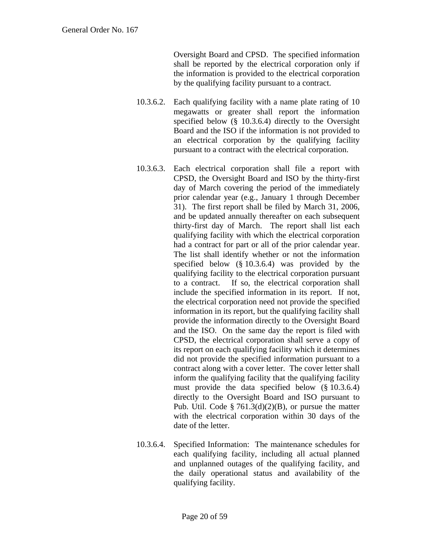Oversight Board and CPSD. The specified information shall be reported by the electrical corporation only if the information is provided to the electrical corporation by the qualifying facility pursuant to a contract.

- 10.3.6.2. Each qualifying facility with a name plate rating of 10 megawatts or greater shall report the information specified below (§ 10.3.6.4) directly to the Oversight Board and the ISO if the information is not provided to an electrical corporation by the qualifying facility pursuant to a contract with the electrical corporation.
- 10.3.6.3. Each electrical corporation shall file a report with CPSD, the Oversight Board and ISO by the thirty-first day of March covering the period of the immediately prior calendar year (e.g., January 1 through December 31). The first report shall be filed by March 31, 2006, and be updated annually thereafter on each subsequent thirty-first day of March. The report shall list each qualifying facility with which the electrical corporation had a contract for part or all of the prior calendar year. The list shall identify whether or not the information specified below (§ 10.3.6.4) was provided by the qualifying facility to the electrical corporation pursuant to a contract. If so, the electrical corporation shall include the specified information in its report. If not, the electrical corporation need not provide the specified information in its report, but the qualifying facility shall provide the information directly to the Oversight Board and the ISO. On the same day the report is filed with CPSD, the electrical corporation shall serve a copy of its report on each qualifying facility which it determines did not provide the specified information pursuant to a contract along with a cover letter. The cover letter shall inform the qualifying facility that the qualifying facility must provide the data specified below (§ 10.3.6.4) directly to the Oversight Board and ISO pursuant to Pub. Util. Code  $\S 761.3(d)(2)(B)$ , or pursue the matter with the electrical corporation within 30 days of the date of the letter.
- 10.3.6.4. Specified Information: The maintenance schedules for each qualifying facility, including all actual planned and unplanned outages of the qualifying facility, and the daily operational status and availability of the qualifying facility.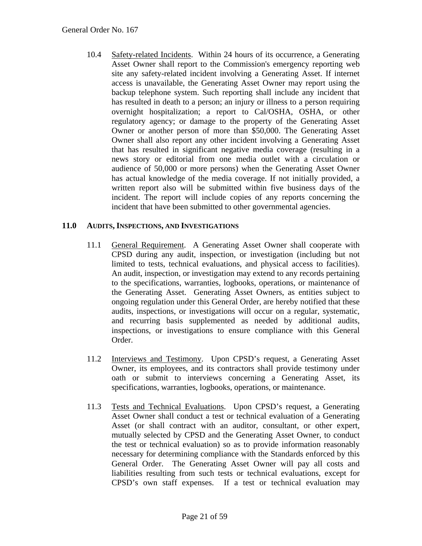10.4 Safety-related Incidents. Within 24 hours of its occurrence, a Generating Asset Owner shall report to the Commission's emergency reporting web site any safety-related incident involving a Generating Asset. If internet access is unavailable, the Generating Asset Owner may report using the backup telephone system. Such reporting shall include any incident that has resulted in death to a person; an injury or illness to a person requiring overnight hospitalization; a report to Cal/OSHA, OSHA, or other regulatory agency; or damage to the property of the Generating Asset Owner or another person of more than \$50,000. The Generating Asset Owner shall also report any other incident involving a Generating Asset that has resulted in significant negative media coverage (resulting in a news story or editorial from one media outlet with a circulation or audience of 50,000 or more persons) when the Generating Asset Owner has actual knowledge of the media coverage. If not initially provided, a written report also will be submitted within five business days of the incident. The report will include copies of any reports concerning the incident that have been submitted to other governmental agencies.

#### **11.0 AUDITS, INSPECTIONS, AND INVESTIGATIONS**

- 11.1 General Requirement. A Generating Asset Owner shall cooperate with CPSD during any audit, inspection, or investigation (including but not limited to tests, technical evaluations, and physical access to facilities). An audit, inspection, or investigation may extend to any records pertaining to the specifications, warranties, logbooks, operations, or maintenance of the Generating Asset. Generating Asset Owners, as entities subject to ongoing regulation under this General Order, are hereby notified that these audits, inspections, or investigations will occur on a regular, systematic, and recurring basis supplemented as needed by additional audits, inspections, or investigations to ensure compliance with this General Order.
- 11.2 Interviews and Testimony. Upon CPSD's request, a Generating Asset Owner, its employees, and its contractors shall provide testimony under oath or submit to interviews concerning a Generating Asset, its specifications, warranties, logbooks, operations, or maintenance.
- 11.3 Tests and Technical Evaluations. Upon CPSD's request, a Generating Asset Owner shall conduct a test or technical evaluation of a Generating Asset (or shall contract with an auditor, consultant, or other expert, mutually selected by CPSD and the Generating Asset Owner, to conduct the test or technical evaluation) so as to provide information reasonably necessary for determining compliance with the Standards enforced by this General Order. The Generating Asset Owner will pay all costs and liabilities resulting from such tests or technical evaluations, except for CPSD's own staff expenses. If a test or technical evaluation may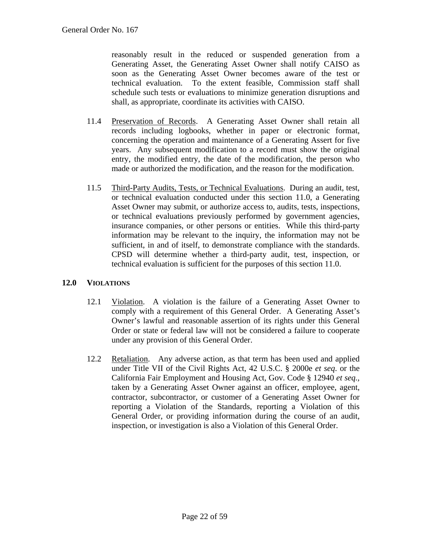reasonably result in the reduced or suspended generation from a Generating Asset, the Generating Asset Owner shall notify CAISO as soon as the Generating Asset Owner becomes aware of the test or technical evaluation. To the extent feasible, Commission staff shall schedule such tests or evaluations to minimize generation disruptions and shall, as appropriate, coordinate its activities with CAISO.

- 11.4 Preservation of Records. A Generating Asset Owner shall retain all records including logbooks, whether in paper or electronic format, concerning the operation and maintenance of a Generating Assert for five years. Any subsequent modification to a record must show the original entry, the modified entry, the date of the modification, the person who made or authorized the modification, and the reason for the modification.
- 11.5 Third-Party Audits, Tests, or Technical Evaluations. During an audit, test, or technical evaluation conducted under this section 11.0, a Generating Asset Owner may submit, or authorize access to, audits, tests, inspections, or technical evaluations previously performed by government agencies, insurance companies, or other persons or entities. While this third-party information may be relevant to the inquiry, the information may not be sufficient, in and of itself, to demonstrate compliance with the standards. CPSD will determine whether a third-party audit, test, inspection, or technical evaluation is sufficient for the purposes of this section 11.0.

#### **12.0 VIOLATIONS**

- 12.1 Violation. A violation is the failure of a Generating Asset Owner to comply with a requirement of this General Order. A Generating Asset's Owner's lawful and reasonable assertion of its rights under this General Order or state or federal law will not be considered a failure to cooperate under any provision of this General Order.
- 12.2 Retaliation. Any adverse action, as that term has been used and applied under Title VII of the Civil Rights Act, 42 U.S.C. § 2000e *et seq*. or the California Fair Employment and Housing Act, Gov. Code § 12940 *et seq.,* taken by a Generating Asset Owner against an officer, employee, agent, contractor, subcontractor, or customer of a Generating Asset Owner for reporting a Violation of the Standards, reporting a Violation of this General Order, or providing information during the course of an audit, inspection, or investigation is also a Violation of this General Order.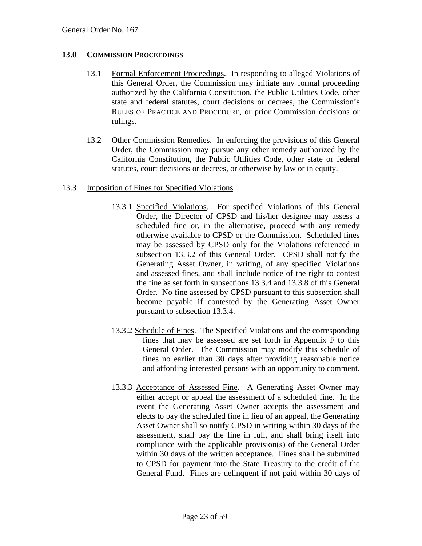#### **13.0 COMMISSION PROCEEDINGS**

- 13.1 Formal Enforcement Proceedings. In responding to alleged Violations of this General Order, the Commission may initiate any formal proceeding authorized by the California Constitution, the Public Utilities Code, other state and federal statutes, court decisions or decrees, the Commission's RULES OF PRACTICE AND PROCEDURE, or prior Commission decisions or rulings.
- 13.2 Other Commission Remedies. In enforcing the provisions of this General Order, the Commission may pursue any other remedy authorized by the California Constitution, the Public Utilities Code, other state or federal statutes, court decisions or decrees, or otherwise by law or in equity.

#### 13.3 Imposition of Fines for Specified Violations

- 13.3.1 Specified Violations. For specified Violations of this General Order, the Director of CPSD and his/her designee may assess a scheduled fine or, in the alternative, proceed with any remedy otherwise available to CPSD or the Commission. Scheduled fines may be assessed by CPSD only for the Violations referenced in subsection 13.3.2 of this General Order. CPSD shall notify the Generating Asset Owner, in writing, of any specified Violations and assessed fines, and shall include notice of the right to contest the fine as set forth in subsections 13.3.4 and 13.3.8 of this General Order. No fine assessed by CPSD pursuant to this subsection shall become payable if contested by the Generating Asset Owner pursuant to subsection 13.3.4.
- 13.3.2 Schedule of Fines. The Specified Violations and the corresponding fines that may be assessed are set forth in Appendix F to this General Order. The Commission may modify this schedule of fines no earlier than 30 days after providing reasonable notice and affording interested persons with an opportunity to comment.
- 13.3.3 Acceptance of Assessed Fine. A Generating Asset Owner may either accept or appeal the assessment of a scheduled fine. In the event the Generating Asset Owner accepts the assessment and elects to pay the scheduled fine in lieu of an appeal, the Generating Asset Owner shall so notify CPSD in writing within 30 days of the assessment, shall pay the fine in full, and shall bring itself into compliance with the applicable provision(s) of the General Order within 30 days of the written acceptance. Fines shall be submitted to CPSD for payment into the State Treasury to the credit of the General Fund. Fines are delinquent if not paid within 30 days of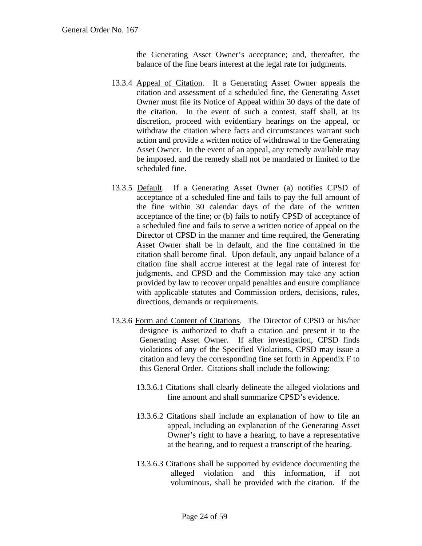the Generating Asset Owner's acceptance; and, thereafter, the balance of the fine bears interest at the legal rate for judgments.

- 13.3.4 Appeal of Citation. If a Generating Asset Owner appeals the citation and assessment of a scheduled fine, the Generating Asset Owner must file its Notice of Appeal within 30 days of the date of the citation. In the event of such a contest, staff shall, at its discretion, proceed with evidentiary hearings on the appeal, or withdraw the citation where facts and circumstances warrant such action and provide a written notice of withdrawal to the Generating Asset Owner. In the event of an appeal, any remedy available may be imposed, and the remedy shall not be mandated or limited to the scheduled fine.
- 13.3.5 Default. If a Generating Asset Owner (a) notifies CPSD of acceptance of a scheduled fine and fails to pay the full amount of the fine within 30 calendar days of the date of the written acceptance of the fine; or (b) fails to notify CPSD of acceptance of a scheduled fine and fails to serve a written notice of appeal on the Director of CPSD in the manner and time required, the Generating Asset Owner shall be in default, and the fine contained in the citation shall become final. Upon default, any unpaid balance of a citation fine shall accrue interest at the legal rate of interest for judgments, and CPSD and the Commission may take any action provided by law to recover unpaid penalties and ensure compliance with applicable statutes and Commission orders, decisions, rules, directions, demands or requirements.
- 13.3.6 Form and Content of Citations. The Director of CPSD or his/her designee is authorized to draft a citation and present it to the Generating Asset Owner. If after investigation, CPSD finds violations of any of the Specified Violations, CPSD may issue a citation and levy the corresponding fine set forth in Appendix F to this General Order. Citations shall include the following:
	- 13.3.6.1 Citations shall clearly delineate the alleged violations and fine amount and shall summarize CPSD's evidence.
	- 13.3.6.2 Citations shall include an explanation of how to file an appeal, including an explanation of the Generating Asset Owner's right to have a hearing, to have a representative at the hearing, and to request a transcript of the hearing.
	- 13.3.6.3 Citations shall be supported by evidence documenting the alleged violation and this information, if not voluminous, shall be provided with the citation. If the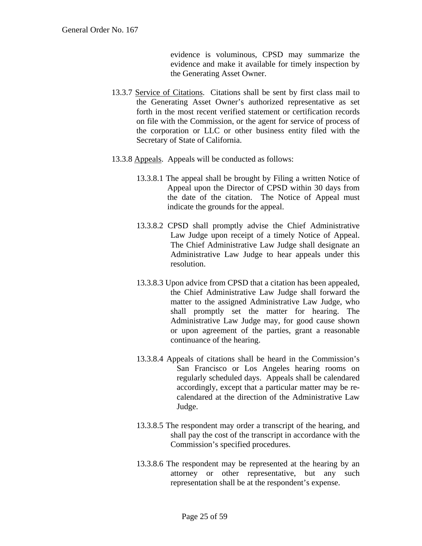evidence is voluminous, CPSD may summarize the evidence and make it available for timely inspection by the Generating Asset Owner.

- 13.3.7 Service of Citations. Citations shall be sent by first class mail to the Generating Asset Owner's authorized representative as set forth in the most recent verified statement or certification records on file with the Commission, or the agent for service of process of the corporation or LLC or other business entity filed with the Secretary of State of California.
- 13.3.8 Appeals. Appeals will be conducted as follows:
	- 13.3.8.1 The appeal shall be brought by Filing a written Notice of Appeal upon the Director of CPSD within 30 days from the date of the citation. The Notice of Appeal must indicate the grounds for the appeal.
	- 13.3.8.2 CPSD shall promptly advise the Chief Administrative Law Judge upon receipt of a timely Notice of Appeal. The Chief Administrative Law Judge shall designate an Administrative Law Judge to hear appeals under this resolution.
	- 13.3.8.3 Upon advice from CPSD that a citation has been appealed, the Chief Administrative Law Judge shall forward the matter to the assigned Administrative Law Judge, who shall promptly set the matter for hearing. The Administrative Law Judge may, for good cause shown or upon agreement of the parties, grant a reasonable continuance of the hearing.
	- 13.3.8.4 Appeals of citations shall be heard in the Commission's San Francisco or Los Angeles hearing rooms on regularly scheduled days. Appeals shall be calendared accordingly, except that a particular matter may be recalendared at the direction of the Administrative Law Judge.
	- 13.3.8.5 The respondent may order a transcript of the hearing, and shall pay the cost of the transcript in accordance with the Commission's specified procedures.
	- 13.3.8.6 The respondent may be represented at the hearing by an attorney or other representative, but any such representation shall be at the respondent's expense.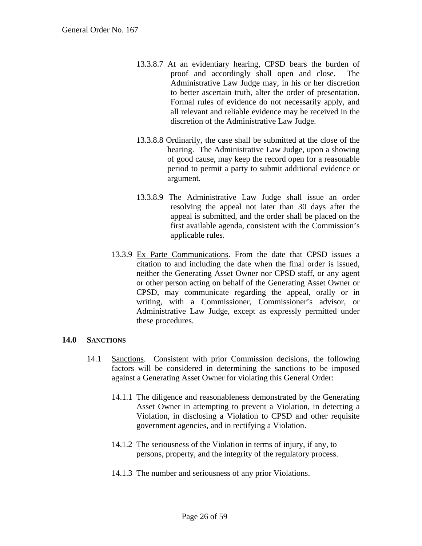- 13.3.8.7 At an evidentiary hearing, CPSD bears the burden of proof and accordingly shall open and close. The Administrative Law Judge may, in his or her discretion to better ascertain truth, alter the order of presentation. Formal rules of evidence do not necessarily apply, and all relevant and reliable evidence may be received in the discretion of the Administrative Law Judge.
- 13.3.8.8 Ordinarily, the case shall be submitted at the close of the hearing. The Administrative Law Judge, upon a showing of good cause, may keep the record open for a reasonable period to permit a party to submit additional evidence or argument.
- 13.3.8.9 The Administrative Law Judge shall issue an order resolving the appeal not later than 30 days after the appeal is submitted, and the order shall be placed on the first available agenda, consistent with the Commission's applicable rules.
- 13.3.9 Ex Parte Communications. From the date that CPSD issues a citation to and including the date when the final order is issued, neither the Generating Asset Owner nor CPSD staff, or any agent or other person acting on behalf of the Generating Asset Owner or CPSD, may communicate regarding the appeal, orally or in writing, with a Commissioner, Commissioner's advisor, or Administrative Law Judge, except as expressly permitted under these procedures.

#### **14.0 SANCTIONS**

- 14.1 Sanctions. Consistent with prior Commission decisions, the following factors will be considered in determining the sanctions to be imposed against a Generating Asset Owner for violating this General Order:
	- 14.1.1 The diligence and reasonableness demonstrated by the Generating Asset Owner in attempting to prevent a Violation, in detecting a Violation, in disclosing a Violation to CPSD and other requisite government agencies, and in rectifying a Violation.
	- 14.1.2 The seriousness of the Violation in terms of injury, if any, to persons, property, and the integrity of the regulatory process.
	- 14.1.3 The number and seriousness of any prior Violations.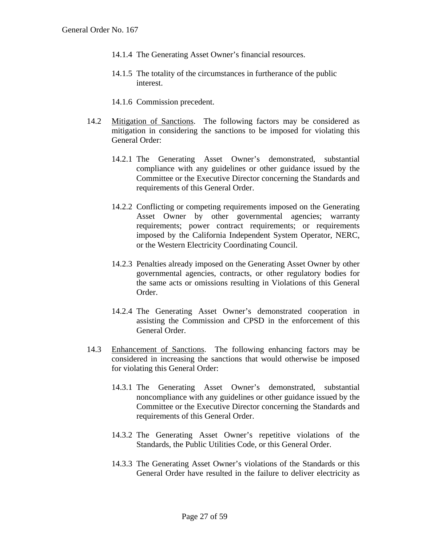- 14.1.4 The Generating Asset Owner's financial resources.
- 14.1.5 The totality of the circumstances in furtherance of the public interest.
- 14.1.6 Commission precedent.
- 14.2 Mitigation of Sanctions. The following factors may be considered as mitigation in considering the sanctions to be imposed for violating this General Order:
	- 14.2.1 The Generating Asset Owner's demonstrated, substantial compliance with any guidelines or other guidance issued by the Committee or the Executive Director concerning the Standards and requirements of this General Order.
	- 14.2.2 Conflicting or competing requirements imposed on the Generating Asset Owner by other governmental agencies; warranty requirements; power contract requirements; or requirements imposed by the California Independent System Operator, NERC, or the Western Electricity Coordinating Council.
	- 14.2.3 Penalties already imposed on the Generating Asset Owner by other governmental agencies, contracts, or other regulatory bodies for the same acts or omissions resulting in Violations of this General Order.
	- 14.2.4 The Generating Asset Owner's demonstrated cooperation in assisting the Commission and CPSD in the enforcement of this General Order.
- 14.3 Enhancement of Sanctions. The following enhancing factors may be considered in increasing the sanctions that would otherwise be imposed for violating this General Order:
	- 14.3.1 The Generating Asset Owner's demonstrated, substantial noncompliance with any guidelines or other guidance issued by the Committee or the Executive Director concerning the Standards and requirements of this General Order.
	- 14.3.2 The Generating Asset Owner's repetitive violations of the Standards, the Public Utilities Code, or this General Order.
	- 14.3.3 The Generating Asset Owner's violations of the Standards or this General Order have resulted in the failure to deliver electricity as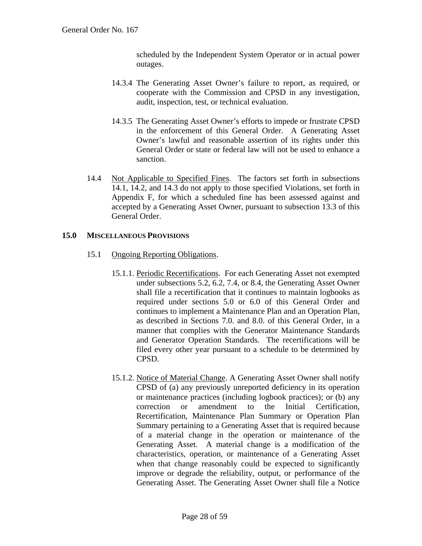scheduled by the Independent System Operator or in actual power outages.

- 14.3.4 The Generating Asset Owner's failure to report, as required, or cooperate with the Commission and CPSD in any investigation, audit, inspection, test, or technical evaluation.
- 14.3.5 The Generating Asset Owner's efforts to impede or frustrate CPSD in the enforcement of this General Order. A Generating Asset Owner's lawful and reasonable assertion of its rights under this General Order or state or federal law will not be used to enhance a sanction.
- 14.4 Not Applicable to Specified Fines. The factors set forth in subsections 14.1, 14.2, and 14.3 do not apply to those specified Violations, set forth in Appendix F, for which a scheduled fine has been assessed against and accepted by a Generating Asset Owner, pursuant to subsection 13.3 of this General Order.

#### **15.0 MISCELLANEOUS PROVISIONS**

- 15.1 Ongoing Reporting Obligations.
	- 15.1.1. Periodic Recertifications. For each Generating Asset not exempted under subsections 5.2, 6.2, 7.4, or 8.4, the Generating Asset Owner shall file a recertification that it continues to maintain logbooks as required under sections 5.0 or 6.0 of this General Order and continues to implement a Maintenance Plan and an Operation Plan, as described in Sections 7.0. and 8.0. of this General Order, in a manner that complies with the Generator Maintenance Standards and Generator Operation Standards. The recertifications will be filed every other year pursuant to a schedule to be determined by CPSD.
	- 15.1.2. Notice of Material Change. A Generating Asset Owner shall notify CPSD of (a) any previously unreported deficiency in its operation or maintenance practices (including logbook practices); or (b) any correction or amendment to the Initial Certification, Recertification, Maintenance Plan Summary or Operation Plan Summary pertaining to a Generating Asset that is required because of a material change in the operation or maintenance of the Generating Asset. A material change is a modification of the characteristics, operation, or maintenance of a Generating Asset when that change reasonably could be expected to significantly improve or degrade the reliability, output, or performance of the Generating Asset. The Generating Asset Owner shall file a Notice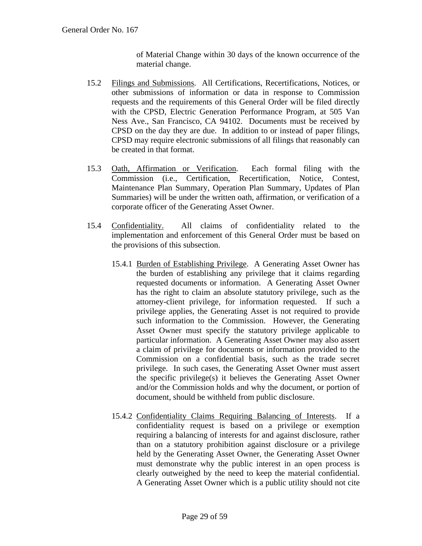of Material Change within 30 days of the known occurrence of the material change.

- 15.2 Filings and Submissions. All Certifications, Recertifications, Notices, or other submissions of information or data in response to Commission requests and the requirements of this General Order will be filed directly with the CPSD, Electric Generation Performance Program, at 505 Van Ness Ave., San Francisco, CA 94102. Documents must be received by CPSD on the day they are due. In addition to or instead of paper filings, CPSD may require electronic submissions of all filings that reasonably can be created in that format.
- 15.3 Oath, Affirmation or Verification. Each formal filing with the Commission (i.e., Certification, Recertification, Notice, Contest, Maintenance Plan Summary, Operation Plan Summary, Updates of Plan Summaries) will be under the written oath, affirmation, or verification of a corporate officer of the Generating Asset Owner.
- 15.4 Confidentiality. All claims of confidentiality related to the implementation and enforcement of this General Order must be based on the provisions of this subsection.
	- 15.4.1 Burden of Establishing Privilege. A Generating Asset Owner has the burden of establishing any privilege that it claims regarding requested documents or information. A Generating Asset Owner has the right to claim an absolute statutory privilege, such as the attorney-client privilege, for information requested. If such a privilege applies, the Generating Asset is not required to provide such information to the Commission. However, the Generating Asset Owner must specify the statutory privilege applicable to particular information. A Generating Asset Owner may also assert a claim of privilege for documents or information provided to the Commission on a confidential basis, such as the trade secret privilege. In such cases, the Generating Asset Owner must assert the specific privilege(s) it believes the Generating Asset Owner and/or the Commission holds and why the document, or portion of document, should be withheld from public disclosure.
	- 15.4.2 Confidentiality Claims Requiring Balancing of Interests. If a confidentiality request is based on a privilege or exemption requiring a balancing of interests for and against disclosure, rather than on a statutory prohibition against disclosure or a privilege held by the Generating Asset Owner, the Generating Asset Owner must demonstrate why the public interest in an open process is clearly outweighed by the need to keep the material confidential. A Generating Asset Owner which is a public utility should not cite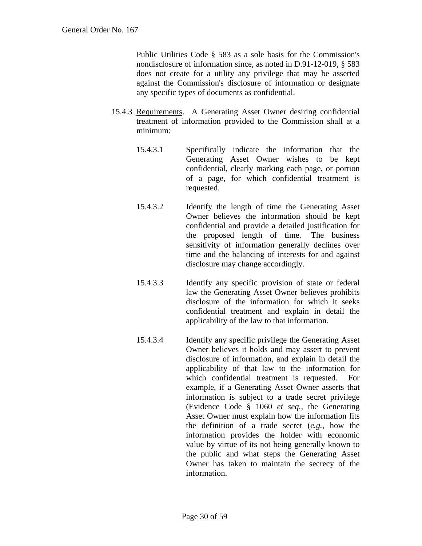Public Utilities Code § 583 as a sole basis for the Commission's nondisclosure of information since, as noted in D.91-12-019, § 583 does not create for a utility any privilege that may be asserted against the Commission's disclosure of information or designate any specific types of documents as confidential.

- 15.4.3 Requirements. A Generating Asset Owner desiring confidential treatment of information provided to the Commission shall at a minimum:
	- 15.4.3.1 Specifically indicate the information that the Generating Asset Owner wishes to be kept confidential, clearly marking each page, or portion of a page, for which confidential treatment is requested.
	- 15.4.3.2 Identify the length of time the Generating Asset Owner believes the information should be kept confidential and provide a detailed justification for the proposed length of time. The business sensitivity of information generally declines over time and the balancing of interests for and against disclosure may change accordingly.
	- 15.4.3.3 Identify any specific provision of state or federal law the Generating Asset Owner believes prohibits disclosure of the information for which it seeks confidential treatment and explain in detail the applicability of the law to that information.
	- 15.4.3.4 Identify any specific privilege the Generating Asset Owner believes it holds and may assert to prevent disclosure of information, and explain in detail the applicability of that law to the information for which confidential treatment is requested. For example, if a Generating Asset Owner asserts that information is subject to a trade secret privilege (Evidence Code § 1060 *et seq.*, the Generating Asset Owner must explain how the information fits the definition of a trade secret (*e.g.*, how the information provides the holder with economic value by virtue of its not being generally known to the public and what steps the Generating Asset Owner has taken to maintain the secrecy of the information.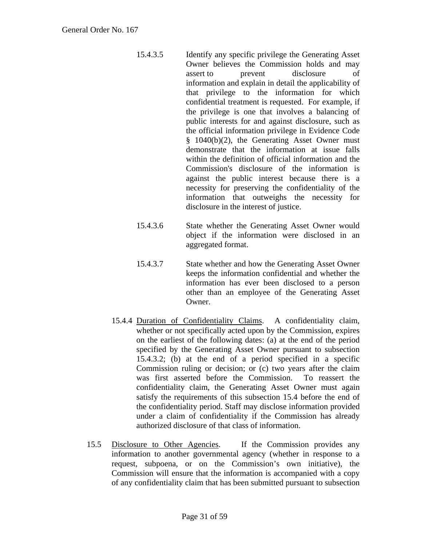- 15.4.3.5 Identify any specific privilege the Generating Asset Owner believes the Commission holds and may assert to prevent disclosure of information and explain in detail the applicability of that privilege to the information for which confidential treatment is requested. For example, if the privilege is one that involves a balancing of public interests for and against disclosure, such as the official information privilege in Evidence Code § 1040(b)(2), the Generating Asset Owner must demonstrate that the information at issue falls within the definition of official information and the Commission's disclosure of the information is against the public interest because there is a necessity for preserving the confidentiality of the information that outweighs the necessity for disclosure in the interest of justice.
- 15.4.3.6 State whether the Generating Asset Owner would object if the information were disclosed in an aggregated format.
- 15.4.3.7 State whether and how the Generating Asset Owner keeps the information confidential and whether the information has ever been disclosed to a person other than an employee of the Generating Asset Owner.
- 15.4.4 Duration of Confidentiality Claims. A confidentiality claim, whether or not specifically acted upon by the Commission, expires on the earliest of the following dates: (a) at the end of the period specified by the Generating Asset Owner pursuant to subsection 15.4.3.2; (b) at the end of a period specified in a specific Commission ruling or decision; or (c) two years after the claim was first asserted before the Commission. To reassert the confidentiality claim, the Generating Asset Owner must again satisfy the requirements of this subsection 15.4 before the end of the confidentiality period. Staff may disclose information provided under a claim of confidentiality if the Commission has already authorized disclosure of that class of information.
- 15.5 Disclosure to Other Agencies. If the Commission provides any information to another governmental agency (whether in response to a request, subpoena, or on the Commission's own initiative), the Commission will ensure that the information is accompanied with a copy of any confidentiality claim that has been submitted pursuant to subsection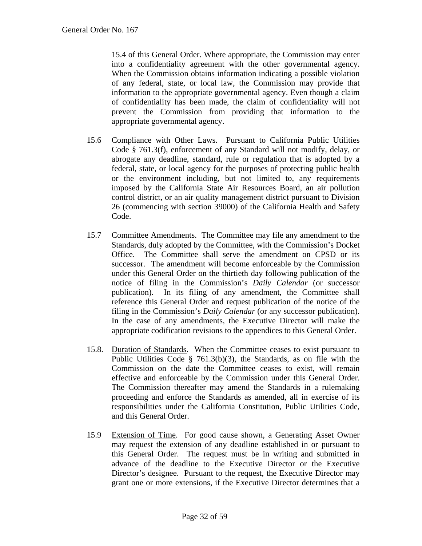15.4 of this General Order. Where appropriate, the Commission may enter into a confidentiality agreement with the other governmental agency. When the Commission obtains information indicating a possible violation of any federal, state, or local law, the Commission may provide that information to the appropriate governmental agency. Even though a claim of confidentiality has been made, the claim of confidentiality will not prevent the Commission from providing that information to the appropriate governmental agency.

- 15.6 Compliance with Other Laws. Pursuant to California Public Utilities Code § 761.3(f), enforcement of any Standard will not modify, delay, or abrogate any deadline, standard, rule or regulation that is adopted by a federal, state, or local agency for the purposes of protecting public health or the environment including, but not limited to, any requirements imposed by the California State Air Resources Board, an air pollution control district, or an air quality management district pursuant to Division 26 (commencing with section 39000) of the California Health and Safety Code.
- 15.7 Committee Amendments. The Committee may file any amendment to the Standards, duly adopted by the Committee, with the Commission's Docket Office. The Committee shall serve the amendment on CPSD or its successor. The amendment will become enforceable by the Commission under this General Order on the thirtieth day following publication of the notice of filing in the Commission's *Daily Calendar* (or successor publication). In its filing of any amendment, the Committee shall reference this General Order and request publication of the notice of the filing in the Commission's *Daily Calendar* (or any successor publication). In the case of any amendments, the Executive Director will make the appropriate codification revisions to the appendices to this General Order.
- 15.8. Duration of Standards. When the Committee ceases to exist pursuant to Public Utilities Code § 761.3(b)(3), the Standards, as on file with the Commission on the date the Committee ceases to exist, will remain effective and enforceable by the Commission under this General Order. The Commission thereafter may amend the Standards in a rulemaking proceeding and enforce the Standards as amended, all in exercise of its responsibilities under the California Constitution, Public Utilities Code, and this General Order.
- 15.9 Extension of Time. For good cause shown, a Generating Asset Owner may request the extension of any deadline established in or pursuant to this General Order. The request must be in writing and submitted in advance of the deadline to the Executive Director or the Executive Director's designee. Pursuant to the request, the Executive Director may grant one or more extensions, if the Executive Director determines that a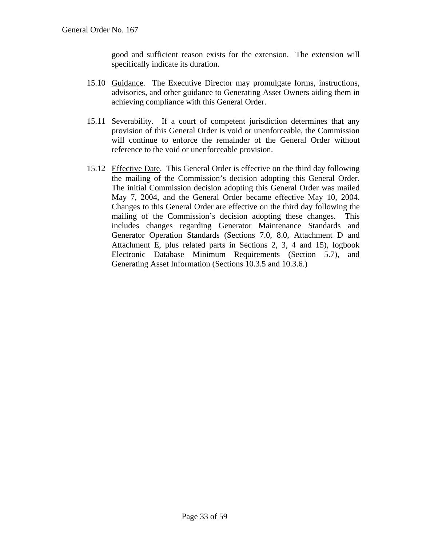good and sufficient reason exists for the extension. The extension will specifically indicate its duration.

- 15.10 Guidance. The Executive Director may promulgate forms, instructions, advisories, and other guidance to Generating Asset Owners aiding them in achieving compliance with this General Order.
- 15.11 Severability. If a court of competent jurisdiction determines that any provision of this General Order is void or unenforceable, the Commission will continue to enforce the remainder of the General Order without reference to the void or unenforceable provision.
- 15.12 Effective Date. This General Order is effective on the third day following the mailing of the Commission's decision adopting this General Order. The initial Commission decision adopting this General Order was mailed May 7, 2004, and the General Order became effective May 10, 2004. Changes to this General Order are effective on the third day following the mailing of the Commission's decision adopting these changes. This includes changes regarding Generator Maintenance Standards and Generator Operation Standards (Sections 7.0, 8.0, Attachment D and Attachment E, plus related parts in Sections 2, 3, 4 and 15), logbook Electronic Database Minimum Requirements (Section 5.7), and Generating Asset Information (Sections 10.3.5 and 10.3.6.)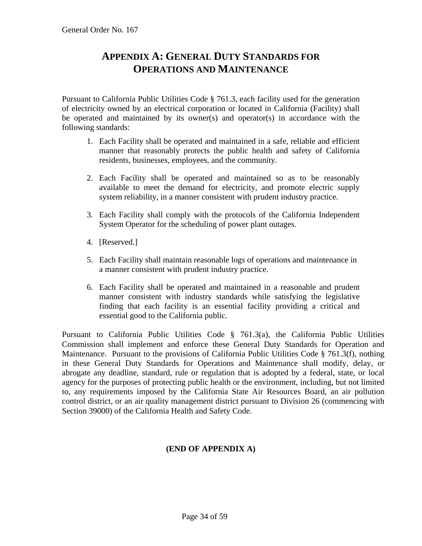# **APPENDIX A: GENERAL DUTY STANDARDS FOR OPERATIONS AND MAINTENANCE**

Pursuant to California Public Utilities Code § 761.3, each facility used for the generation of electricity owned by an electrical corporation or located in California (Facility) shall be operated and maintained by its owner(s) and operator(s) in accordance with the following standards:

- 1. Each Facility shall be operated and maintained in a safe, reliable and efficient manner that reasonably protects the public health and safety of California residents, businesses, employees, and the community.
- 2. Each Facility shall be operated and maintained so as to be reasonably available to meet the demand for electricity, and promote electric supply system reliability, in a manner consistent with prudent industry practice.
- 3. Each Facility shall comply with the protocols of the California Independent System Operator for the scheduling of power plant outages.
- 4. [Reserved.]
- 5. Each Facility shall maintain reasonable logs of operations and maintenance in a manner consistent with prudent industry practice.
- 6. Each Facility shall be operated and maintained in a reasonable and prudent manner consistent with industry standards while satisfying the legislative finding that each facility is an essential facility providing a critical and essential good to the California public.

Pursuant to California Public Utilities Code § 761.3(a), the California Public Utilities Commission shall implement and enforce these General Duty Standards for Operation and Maintenance. Pursuant to the provisions of California Public Utilities Code § 761.3(f), nothing in these General Duty Standards for Operations and Maintenance shall modify, delay, or abrogate any deadline, standard, rule or regulation that is adopted by a federal, state, or local agency for the purposes of protecting public health or the environment, including, but not limited to, any requirements imposed by the California State Air Resources Board, an air pollution control district, or an air quality management district pursuant to Division 26 (commencing with Section 39000) of the California Health and Safety Code.

### **(END OF APPENDIX A)**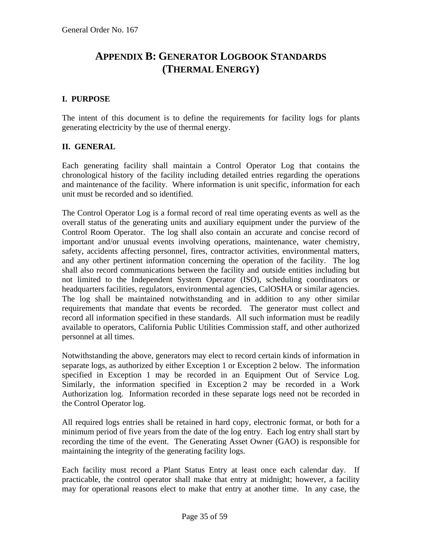## **APPENDIX B: GENERATOR LOGBOOK STANDARDS (THERMAL ENERGY)**

#### **I. PURPOSE**

The intent of this document is to define the requirements for facility logs for plants generating electricity by the use of thermal energy.

#### **II. GENERAL**

Each generating facility shall maintain a Control Operator Log that contains the chronological history of the facility including detailed entries regarding the operations and maintenance of the facility. Where information is unit specific, information for each unit must be recorded and so identified.

The Control Operator Log is a formal record of real time operating events as well as the overall status of the generating units and auxiliary equipment under the purview of the Control Room Operator. The log shall also contain an accurate and concise record of important and/or unusual events involving operations, maintenance, water chemistry, safety, accidents affecting personnel, fires, contractor activities, environmental matters, and any other pertinent information concerning the operation of the facility. The log shall also record communications between the facility and outside entities including but not limited to the Independent System Operator (ISO), scheduling coordinators or headquarters facilities, regulators, environmental agencies, CalOSHA or similar agencies. The log shall be maintained notwithstanding and in addition to any other similar requirements that mandate that events be recorded. The generator must collect and record all information specified in these standards. All such information must be readily available to operators, California Public Utilities Commission staff, and other authorized personnel at all times.

Notwithstanding the above, generators may elect to record certain kinds of information in separate logs, as authorized by either Exception 1 or Exception 2 below. The information specified in Exception 1 may be recorded in an Equipment Out of Service Log. Similarly, the information specified in Exception 2 may be recorded in a Work Authorization log. Information recorded in these separate logs need not be recorded in the Control Operator log.

All required logs entries shall be retained in hard copy, electronic format, or both for a minimum period of five years from the date of the log entry. Each log entry shall start by recording the time of the event. The Generating Asset Owner (GAO) is responsible for maintaining the integrity of the generating facility logs.

Each facility must record a Plant Status Entry at least once each calendar day. If practicable, the control operator shall make that entry at midnight; however, a facility may for operational reasons elect to make that entry at another time. In any case, the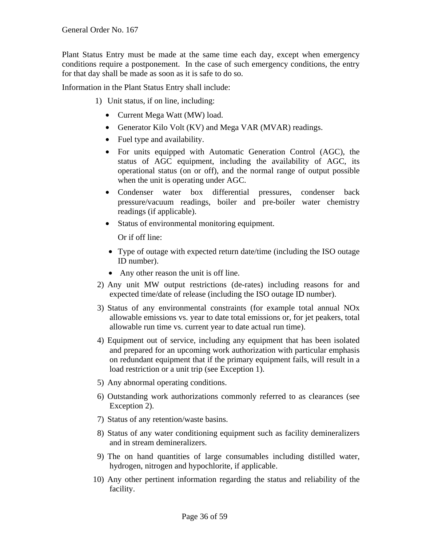Plant Status Entry must be made at the same time each day, except when emergency conditions require a postponement. In the case of such emergency conditions, the entry for that day shall be made as soon as it is safe to do so.

Information in the Plant Status Entry shall include:

- 1) Unit status, if on line, including:
	- Current Mega Watt (MW) load.
	- Generator Kilo Volt (KV) and Mega VAR (MVAR) readings.
	- Fuel type and availability.
	- For units equipped with Automatic Generation Control (AGC), the status of AGC equipment, including the availability of AGC, its operational status (on or off), and the normal range of output possible when the unit is operating under AGC.
	- Condenser water box differential pressures, condenser back pressure/vacuum readings, boiler and pre-boiler water chemistry readings (if applicable).
	- Status of environmental monitoring equipment.

Or if off line:

- Type of outage with expected return date/time (including the ISO outage ID number).
- Any other reason the unit is off line.
- 2) Any unit MW output restrictions (de-rates) including reasons for and expected time/date of release (including the ISO outage ID number).
- 3) Status of any environmental constraints (for example total annual NOx allowable emissions vs. year to date total emissions or, for jet peakers, total allowable run time vs. current year to date actual run time).
- 4) Equipment out of service, including any equipment that has been isolated and prepared for an upcoming work authorization with particular emphasis on redundant equipment that if the primary equipment fails, will result in a load restriction or a unit trip (see Exception 1).
- 5) Any abnormal operating conditions.
- 6) Outstanding work authorizations commonly referred to as clearances (see Exception 2).
- 7) Status of any retention/waste basins.
- 8) Status of any water conditioning equipment such as facility demineralizers and in stream demineralizers.
- 9) The on hand quantities of large consumables including distilled water, hydrogen, nitrogen and hypochlorite, if applicable.
- 10) Any other pertinent information regarding the status and reliability of the facility.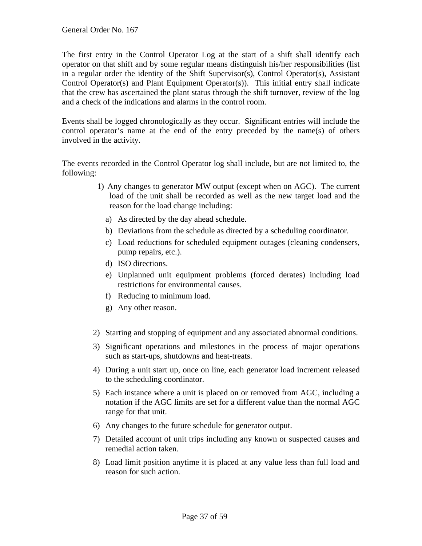The first entry in the Control Operator Log at the start of a shift shall identify each operator on that shift and by some regular means distinguish his/her responsibilities (list in a regular order the identity of the Shift Supervisor(s), Control Operator(s), Assistant Control Operator(s) and Plant Equipment Operator(s)). This initial entry shall indicate that the crew has ascertained the plant status through the shift turnover, review of the log and a check of the indications and alarms in the control room.

Events shall be logged chronologically as they occur. Significant entries will include the control operator's name at the end of the entry preceded by the name(s) of others involved in the activity.

The events recorded in the Control Operator log shall include, but are not limited to, the following:

- 1) Any changes to generator MW output (except when on AGC). The current load of the unit shall be recorded as well as the new target load and the reason for the load change including:
	- a) As directed by the day ahead schedule.
	- b) Deviations from the schedule as directed by a scheduling coordinator.
	- c) Load reductions for scheduled equipment outages (cleaning condensers, pump repairs, etc.).
	- d) ISO directions.
	- e) Unplanned unit equipment problems (forced derates) including load restrictions for environmental causes.
	- f) Reducing to minimum load.
	- g) Any other reason.
- 2) Starting and stopping of equipment and any associated abnormal conditions.
- 3) Significant operations and milestones in the process of major operations such as start-ups, shutdowns and heat-treats.
- 4) During a unit start up, once on line, each generator load increment released to the scheduling coordinator.
- 5) Each instance where a unit is placed on or removed from AGC, including a notation if the AGC limits are set for a different value than the normal AGC range for that unit.
- 6) Any changes to the future schedule for generator output.
- 7) Detailed account of unit trips including any known or suspected causes and remedial action taken.
- 8) Load limit position anytime it is placed at any value less than full load and reason for such action.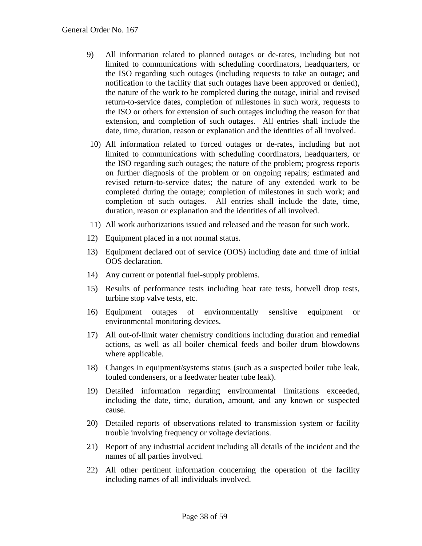- 9) All information related to planned outages or de-rates, including but not limited to communications with scheduling coordinators, headquarters, or the ISO regarding such outages (including requests to take an outage; and notification to the facility that such outages have been approved or denied), the nature of the work to be completed during the outage, initial and revised return-to-service dates, completion of milestones in such work, requests to the ISO or others for extension of such outages including the reason for that extension, and completion of such outages. All entries shall include the date, time, duration, reason or explanation and the identities of all involved.
- 10) All information related to forced outages or de-rates, including but not limited to communications with scheduling coordinators, headquarters, or the ISO regarding such outages; the nature of the problem; progress reports on further diagnosis of the problem or on ongoing repairs; estimated and revised return-to-service dates; the nature of any extended work to be completed during the outage; completion of milestones in such work; and completion of such outages. All entries shall include the date, time, duration, reason or explanation and the identities of all involved.
- 11) All work authorizations issued and released and the reason for such work.
- 12) Equipment placed in a not normal status.
- 13) Equipment declared out of service (OOS) including date and time of initial OOS declaration.
- 14) Any current or potential fuel-supply problems.
- 15) Results of performance tests including heat rate tests, hotwell drop tests, turbine stop valve tests, etc.
- 16) Equipment outages of environmentally sensitive equipment or environmental monitoring devices.
- 17) All out-of-limit water chemistry conditions including duration and remedial actions, as well as all boiler chemical feeds and boiler drum blowdowns where applicable.
- 18) Changes in equipment/systems status (such as a suspected boiler tube leak, fouled condensers, or a feedwater heater tube leak).
- 19) Detailed information regarding environmental limitations exceeded, including the date, time, duration, amount, and any known or suspected cause.
- 20) Detailed reports of observations related to transmission system or facility trouble involving frequency or voltage deviations.
- 21) Report of any industrial accident including all details of the incident and the names of all parties involved.
- 22) All other pertinent information concerning the operation of the facility including names of all individuals involved.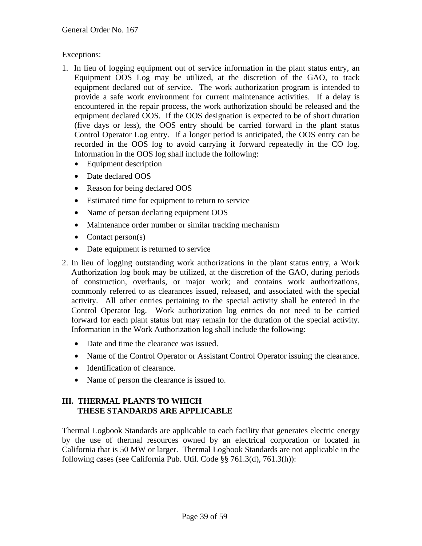#### Exceptions:

- 1. In lieu of logging equipment out of service information in the plant status entry, an Equipment OOS Log may be utilized, at the discretion of the GAO, to track equipment declared out of service. The work authorization program is intended to provide a safe work environment for current maintenance activities. If a delay is encountered in the repair process, the work authorization should be released and the equipment declared OOS. If the OOS designation is expected to be of short duration (five days or less), the OOS entry should be carried forward in the plant status Control Operator Log entry. If a longer period is anticipated, the OOS entry can be recorded in the OOS log to avoid carrying it forward repeatedly in the CO log. Information in the OOS log shall include the following:
	- Equipment description
	- Date declared OOS
	- Reason for being declared OOS
	- Estimated time for equipment to return to service
	- Name of person declaring equipment OOS
	- Maintenance order number or similar tracking mechanism
	- Contact person(s)
	- Date equipment is returned to service
- 2. In lieu of logging outstanding work authorizations in the plant status entry, a Work Authorization log book may be utilized, at the discretion of the GAO, during periods of construction, overhauls, or major work; and contains work authorizations*,*  commonly referred to as clearances issued, released, and associated with the special activity. All other entries pertaining to the special activity shall be entered in the Control Operator log. Work authorization log entries do not need to be carried forward for each plant status but may remain for the duration of the special activity. Information in the Work Authorization log shall include the following:
	- Date and time the clearance was issued.
	- Name of the Control Operator or Assistant Control Operator issuing the clearance.
	- Identification of clearance.
	- Name of person the clearance is issued to.

#### **III. THERMAL PLANTS TO WHICH THESE STANDARDS ARE APPLICABLE**

Thermal Logbook Standards are applicable to each facility that generates electric energy by the use of thermal resources owned by an electrical corporation or located in California that is 50 MW or larger. Thermal Logbook Standards are not applicable in the following cases (see California Pub. Util. Code §§ 761.3(d), 761.3(h)):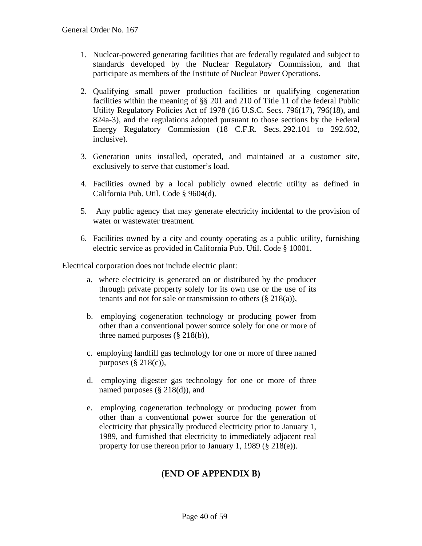- 1. Nuclear-powered generating facilities that are federally regulated and subject to standards developed by the Nuclear Regulatory Commission, and that participate as members of the Institute of Nuclear Power Operations.
- 2. Qualifying small power production facilities or qualifying cogeneration facilities within the meaning of §§ 201 and 210 of Title 11 of the federal Public Utility Regulatory Policies Act of 1978 (16 U.S.C. Secs. 796(17), 796(18), and 824a-3), and the regulations adopted pursuant to those sections by the Federal Energy Regulatory Commission (18 C.F.R. Secs. 292.101 to 292.602, inclusive).
- 3. Generation units installed, operated, and maintained at a customer site, exclusively to serve that customer's load.
- 4. Facilities owned by a local publicly owned electric utility as defined in California Pub. Util. Code § 9604(d).
- 5. Any public agency that may generate electricity incidental to the provision of water or wastewater treatment.
- 6. Facilities owned by a city and county operating as a public utility, furnishing electric service as provided in California Pub. Util. Code § 10001.

Electrical corporation does not include electric plant:

- a. where electricity is generated on or distributed by the producer through private property solely for its own use or the use of its tenants and not for sale or transmission to others  $(\S 218(a))$ ,
- b. employing cogeneration technology or producing power from other than a conventional power source solely for one or more of three named purposes (§ 218(b)),
- c. employing landfill gas technology for one or more of three named purposes  $(\S 218(c))$ ,
- d. employing digester gas technology for one or more of three named purposes (§ 218(d)), and
- e. employing cogeneration technology or producing power from other than a conventional power source for the generation of electricity that physically produced electricity prior to January 1, 1989, and furnished that electricity to immediately adjacent real property for use thereon prior to January 1, 1989 (§ 218(e)).

## **(END OF APPENDIX B)**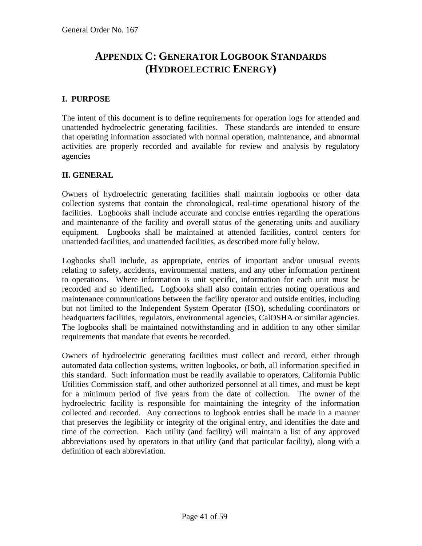# **APPENDIX C: GENERATOR LOGBOOK STANDARDS (HYDROELECTRIC ENERGY)**

#### **I. PURPOSE**

The intent of this document is to define requirements for operation logs for attended and unattended hydroelectric generating facilities. These standards are intended to ensure that operating information associated with normal operation, maintenance, and abnormal activities are properly recorded and available for review and analysis by regulatory agencies

#### **II. GENERAL**

Owners of hydroelectric generating facilities shall maintain logbooks or other data collection systems that contain the chronological, real-time operational history of the facilities. Logbooks shall include accurate and concise entries regarding the operations and maintenance of the facility and overall status of the generating units and auxiliary equipment. Logbooks shall be maintained at attended facilities, control centers for unattended facilities, and unattended facilities, as described more fully below.

Logbooks shall include, as appropriate, entries of important and/or unusual events relating to safety, accidents, environmental matters, and any other information pertinent to operations. Where information is unit specific, information for each unit must be recorded and so identified**.** Logbooks shall also contain entries noting operations and maintenance communications between the facility operator and outside entities, including but not limited to the Independent System Operator (ISO), scheduling coordinators or headquarters facilities, regulators, environmental agencies, CalOSHA or similar agencies. The logbooks shall be maintained notwithstanding and in addition to any other similar requirements that mandate that events be recorded.

Owners of hydroelectric generating facilities must collect and record, either through automated data collection systems, written logbooks, or both, all information specified in this standard. Such information must be readily available to operators, California Public Utilities Commission staff, and other authorized personnel at all times, and must be kept for a minimum period of five years from the date of collection. The owner of the hydroelectric facility is responsible for maintaining the integrity of the information collected and recorded. Any corrections to logbook entries shall be made in a manner that preserves the legibility or integrity of the original entry, and identifies the date and time of the correction. Each utility (and facility) will maintain a list of any approved abbreviations used by operators in that utility (and that particular facility), along with a definition of each abbreviation.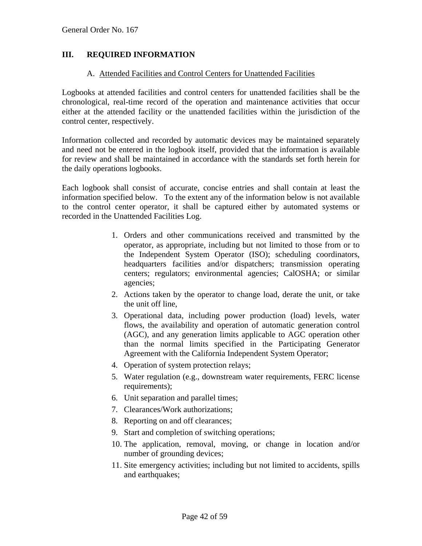#### **III. REQUIRED INFORMATION**

#### A. Attended Facilities and Control Centers for Unattended Facilities

Logbooks at attended facilities and control centers for unattended facilities shall be the chronological, real-time record of the operation and maintenance activities that occur either at the attended facility or the unattended facilities within the jurisdiction of the control center, respectively.

Information collected and recorded by automatic devices may be maintained separately and need not be entered in the logbook itself, provided that the information is available for review and shall be maintained in accordance with the standards set forth herein for the daily operations logbooks.

Each logbook shall consist of accurate, concise entries and shall contain at least the information specified below. To the extent any of the information below is not available to the control center operator, it shall be captured either by automated systems or recorded in the Unattended Facilities Log.

- 1. Orders and other communications received and transmitted by the operator, as appropriate, including but not limited to those from or to the Independent System Operator (ISO); scheduling coordinators, headquarters facilities and/or dispatchers; transmission operating centers; regulators; environmental agencies; CalOSHA; or similar agencies;
- 2. Actions taken by the operator to change load, derate the unit, or take the unit off line,
- 3. Operational data, including power production (load) levels, water flows, the availability and operation of automatic generation control (AGC), and any generation limits applicable to AGC operation other than the normal limits specified in the Participating Generator Agreement with the California Independent System Operator;
- 4. Operation of system protection relays;
- 5. Water regulation (e.g., downstream water requirements, FERC license requirements);
- 6. Unit separation and parallel times;
- 7. Clearances/Work authorizations;
- 8. Reporting on and off clearances;
- 9. Start and completion of switching operations;
- 10. The application, removal, moving, or change in location and/or number of grounding devices;
- 11. Site emergency activities; including but not limited to accidents, spills and earthquakes;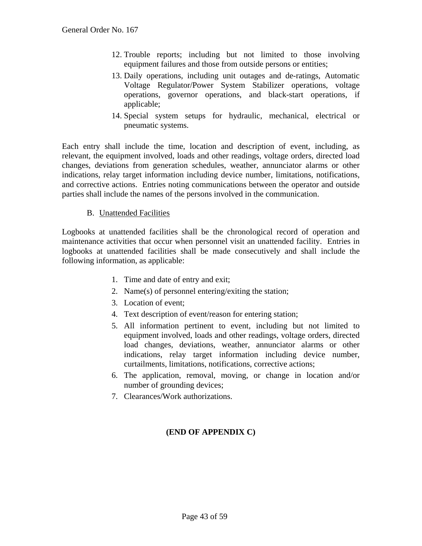- 12. Trouble reports; including but not limited to those involving equipment failures and those from outside persons or entities;
- 13. Daily operations, including unit outages and de-ratings, Automatic Voltage Regulator/Power System Stabilizer operations, voltage operations, governor operations, and black-start operations, if applicable;
- 14. Special system setups for hydraulic, mechanical, electrical or pneumatic systems.

Each entry shall include the time, location and description of event, including, as relevant, the equipment involved, loads and other readings, voltage orders, directed load changes, deviations from generation schedules, weather, annunciator alarms or other indications, relay target information including device number, limitations, notifications, and corrective actions. Entries noting communications between the operator and outside parties shall include the names of the persons involved in the communication.

#### B. Unattended Facilities

Logbooks at unattended facilities shall be the chronological record of operation and maintenance activities that occur when personnel visit an unattended facility. Entries in logbooks at unattended facilities shall be made consecutively and shall include the following information, as applicable:

- 1. Time and date of entry and exit;
- 2. Name(s) of personnel entering/exiting the station;
- 3. Location of event;
- 4. Text description of event/reason for entering station;
- 5. All information pertinent to event, including but not limited to equipment involved, loads and other readings, voltage orders, directed load changes, deviations, weather, annunciator alarms or other indications, relay target information including device number, curtailments, limitations, notifications, corrective actions;
- 6. The application, removal, moving, or change in location and/or number of grounding devices;
- 7. Clearances/Work authorizations.

### **(END OF APPENDIX C)**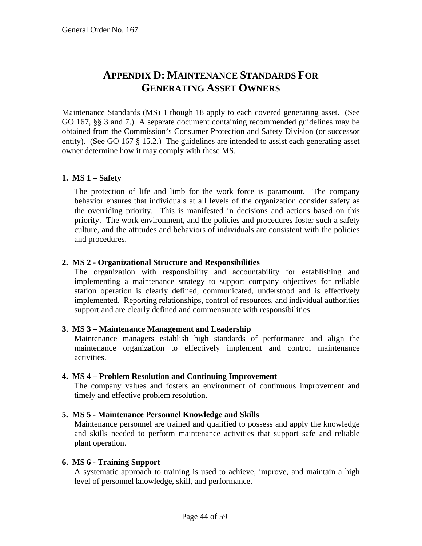# **APPENDIX D: MAINTENANCE STANDARDS FOR GENERATING ASSET OWNERS**

Maintenance Standards (MS) 1 though 18 apply to each covered generating asset. (See GO 167, §§ 3 and 7.) A separate document containing recommended guidelines may be obtained from the Commission's Consumer Protection and Safety Division (or successor entity). (See GO 167 § 15.2.) The guidelines are intended to assist each generating asset owner determine how it may comply with these MS.

#### **1. MS 1 – Safety**

The protection of life and limb for the work force is paramount. The company behavior ensures that individuals at all levels of the organization consider safety as the overriding priority. This is manifested in decisions and actions based on this priority. The work environment, and the policies and procedures foster such a safety culture, and the attitudes and behaviors of individuals are consistent with the policies and procedures.

#### **2. MS 2 - Organizational Structure and Responsibilities**

The organization with responsibility and accountability for establishing and implementing a maintenance strategy to support company objectives for reliable station operation is clearly defined, communicated, understood and is effectively implemented. Reporting relationships, control of resources, and individual authorities support and are clearly defined and commensurate with responsibilities.

#### **3. MS 3 – Maintenance Management and Leadership**

Maintenance managers establish high standards of performance and align the maintenance organization to effectively implement and control maintenance activities.

#### **4. MS 4 – Problem Resolution and Continuing Improvement**

The company values and fosters an environment of continuous improvement and timely and effective problem resolution.

#### **5. MS 5 - Maintenance Personnel Knowledge and Skills**

Maintenance personnel are trained and qualified to possess and apply the knowledge and skills needed to perform maintenance activities that support safe and reliable plant operation.

#### **6. MS 6 - Training Support**

A systematic approach to training is used to achieve, improve, and maintain a high level of personnel knowledge, skill, and performance.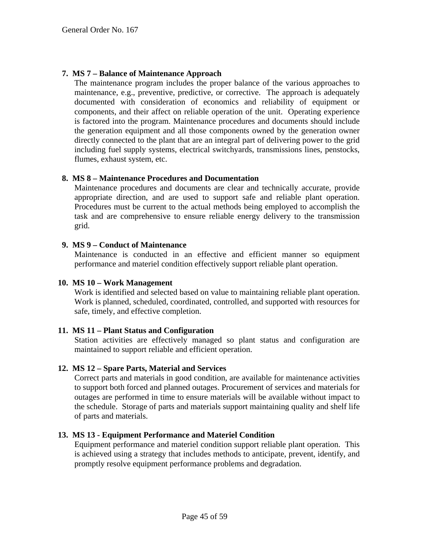#### **7. MS 7 – Balance of Maintenance Approach**

The maintenance program includes the proper balance of the various approaches to maintenance, e.g., preventive, predictive, or corrective. The approach is adequately documented with consideration of economics and reliability of equipment or components, and their affect on reliable operation of the unit. Operating experience is factored into the program. Maintenance procedures and documents should include the generation equipment and all those components owned by the generation owner directly connected to the plant that are an integral part of delivering power to the grid including fuel supply systems, electrical switchyards, transmissions lines, penstocks, flumes, exhaust system, etc.

#### **8. MS 8 – Maintenance Procedures and Documentation**

Maintenance procedures and documents are clear and technically accurate, provide appropriate direction, and are used to support safe and reliable plant operation. Procedures must be current to the actual methods being employed to accomplish the task and are comprehensive to ensure reliable energy delivery to the transmission grid.

#### **9. MS 9 – Conduct of Maintenance**

Maintenance is conducted in an effective and efficient manner so equipment performance and materiel condition effectively support reliable plant operation.

#### **10. MS 10 – Work Management**

Work is identified and selected based on value to maintaining reliable plant operation. Work is planned, scheduled, coordinated, controlled, and supported with resources for safe, timely, and effective completion.

#### **11. MS 11 – Plant Status and Configuration**

Station activities are effectively managed so plant status and configuration are maintained to support reliable and efficient operation.

#### **12. MS 12 – Spare Parts, Material and Services**

Correct parts and materials in good condition, are available for maintenance activities to support both forced and planned outages. Procurement of services and materials for outages are performed in time to ensure materials will be available without impact to the schedule. Storage of parts and materials support maintaining quality and shelf life of parts and materials.

#### **13. MS 13 - Equipment Performance and Materiel Condition**

Equipment performance and materiel condition support reliable plant operation. This is achieved using a strategy that includes methods to anticipate, prevent, identify, and promptly resolve equipment performance problems and degradation.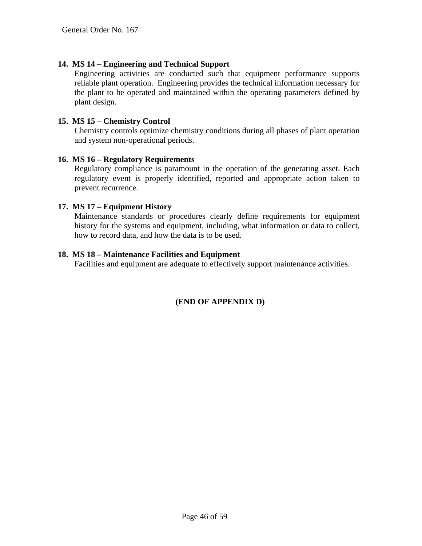#### **14. MS 14 – Engineering and Technical Support**

Engineering activities are conducted such that equipment performance supports reliable plant operation. Engineering provides the technical information necessary for the plant to be operated and maintained within the operating parameters defined by plant design.

#### **15. MS 15 – Chemistry Control**

Chemistry controls optimize chemistry conditions during all phases of plant operation and system non-operational periods.

#### **16. MS 16 – Regulatory Requirements**

Regulatory compliance is paramount in the operation of the generating asset. Each regulatory event is properly identified, reported and appropriate action taken to prevent recurrence.

#### **17. MS 17 – Equipment History**

Maintenance standards or procedures clearly define requirements for equipment history for the systems and equipment, including, what information or data to collect, how to record data, and how the data is to be used.

#### **18. MS 18 – Maintenance Facilities and Equipment**

Facilities and equipment are adequate to effectively support maintenance activities.

#### **(END OF APPENDIX D)**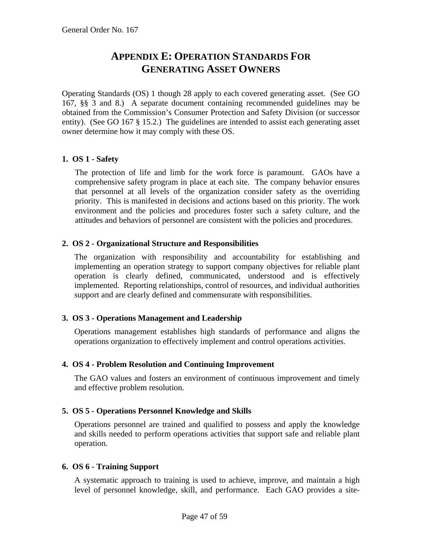# **APPENDIX E: OPERATION STANDARDS FOR GENERATING ASSET OWNERS**

Operating Standards (OS) 1 though 28 apply to each covered generating asset. (See GO 167, §§ 3 and 8.) A separate document containing recommended guidelines may be obtained from the Commission's Consumer Protection and Safety Division (or successor entity). (See GO 167 § 15.2.) The guidelines are intended to assist each generating asset owner determine how it may comply with these OS.

#### **1. OS 1 - Safety**

The protection of life and limb for the work force is paramount. GAOs have a comprehensive safety program in place at each site. The company behavior ensures that personnel at all levels of the organization consider safety as the overriding priority. This is manifested in decisions and actions based on this priority. The work environment and the policies and procedures foster such a safety culture, and the attitudes and behaviors of personnel are consistent with the policies and procedures.

#### **2. OS 2 - Organizational Structure and Responsibilities**

The organization with responsibility and accountability for establishing and implementing an operation strategy to support company objectives for reliable plant operation is clearly defined, communicated, understood and is effectively implemented. Reporting relationships, control of resources, and individual authorities support and are clearly defined and commensurate with responsibilities.

#### **3. OS 3 - Operations Management and Leadership**

Operations management establishes high standards of performance and aligns the operations organization to effectively implement and control operations activities.

#### **4. OS 4 - Problem Resolution and Continuing Improvement**

The GAO values and fosters an environment of continuous improvement and timely and effective problem resolution.

#### **5. OS 5 - Operations Personnel Knowledge and Skills**

Operations personnel are trained and qualified to possess and apply the knowledge and skills needed to perform operations activities that support safe and reliable plant operation.

#### **6. OS 6 - Training Support**

A systematic approach to training is used to achieve, improve, and maintain a high level of personnel knowledge, skill, and performance. Each GAO provides a site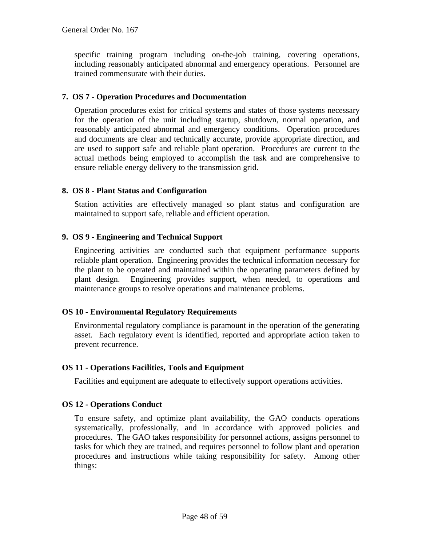specific training program including on-the-job training, covering operations, including reasonably anticipated abnormal and emergency operations. Personnel are trained commensurate with their duties.

#### **7. OS 7 - Operation Procedures and Documentation**

Operation procedures exist for critical systems and states of those systems necessary for the operation of the unit including startup, shutdown, normal operation, and reasonably anticipated abnormal and emergency conditions. Operation procedures and documents are clear and technically accurate, provide appropriate direction, and are used to support safe and reliable plant operation. Procedures are current to the actual methods being employed to accomplish the task and are comprehensive to ensure reliable energy delivery to the transmission grid.

#### **8. OS 8 - Plant Status and Configuration**

Station activities are effectively managed so plant status and configuration are maintained to support safe, reliable and efficient operation.

#### **9. OS 9 - Engineering and Technical Support**

Engineering activities are conducted such that equipment performance supports reliable plant operation. Engineering provides the technical information necessary for the plant to be operated and maintained within the operating parameters defined by plant design. Engineering provides support, when needed, to operations and maintenance groups to resolve operations and maintenance problems.

#### **OS 10 - Environmental Regulatory Requirements**

Environmental regulatory compliance is paramount in the operation of the generating asset. Each regulatory event is identified, reported and appropriate action taken to prevent recurrence.

#### **OS 11 - Operations Facilities, Tools and Equipment**

Facilities and equipment are adequate to effectively support operations activities.

#### **OS 12 - Operations Conduct**

To ensure safety, and optimize plant availability, the GAO conducts operations systematically, professionally, and in accordance with approved policies and procedures. The GAO takes responsibility for personnel actions, assigns personnel to tasks for which they are trained, and requires personnel to follow plant and operation procedures and instructions while taking responsibility for safety. Among other things: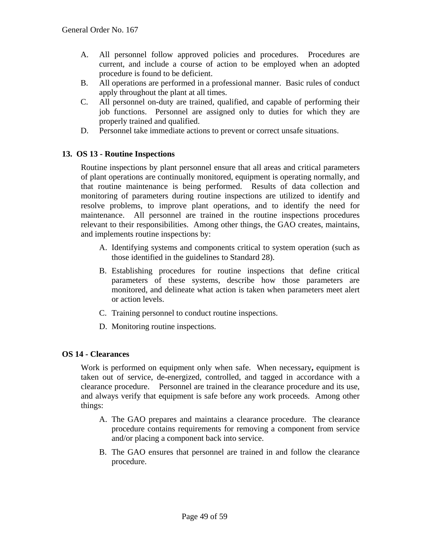- A. All personnel follow approved policies and procedures. Procedures are current, and include a course of action to be employed when an adopted procedure is found to be deficient.
- B. All operations are performed in a professional manner. Basic rules of conduct apply throughout the plant at all times.
- C. All personnel on-duty are trained, qualified, and capable of performing their job functions. Personnel are assigned only to duties for which they are properly trained and qualified.
- D. Personnel take immediate actions to prevent or correct unsafe situations.

#### **13. OS 13 - Routine Inspections**

Routine inspections by plant personnel ensure that all areas and critical parameters of plant operations are continually monitored, equipment is operating normally, and that routine maintenance is being performed. Results of data collection and monitoring of parameters during routine inspections are utilized to identify and resolve problems, to improve plant operations, and to identify the need for maintenance. All personnel are trained in the routine inspections procedures relevant to their responsibilities. Among other things, the GAO creates, maintains, and implements routine inspections by:

- A. Identifying systems and components critical to system operation (such as those identified in the guidelines to Standard 28).
- B. Establishing procedures for routine inspections that define critical parameters of these systems, describe how those parameters are monitored, and delineate what action is taken when parameters meet alert or action levels.
- C. Training personnel to conduct routine inspections.
- D. Monitoring routine inspections.

#### **OS 14 - Clearances**

Work is performed on equipment only when safe. When necessary**,** equipment is taken out of service, de-energized, controlled, and tagged in accordance with a clearance procedure. Personnel are trained in the clearance procedure and its use, and always verify that equipment is safe before any work proceeds. Among other things:

- A. The GAO prepares and maintains a clearance procedure. The clearance procedure contains requirements for removing a component from service and/or placing a component back into service.
- B. The GAO ensures that personnel are trained in and follow the clearance procedure.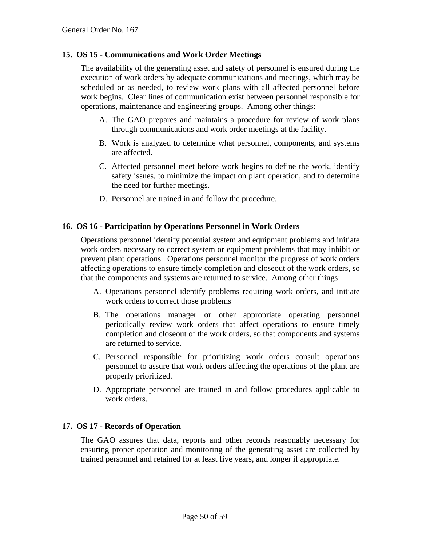#### **15. OS 15 - Communications and Work Order Meetings**

The availability of the generating asset and safety of personnel is ensured during the execution of work orders by adequate communications and meetings, which may be scheduled or as needed, to review work plans with all affected personnel before work begins. Clear lines of communication exist between personnel responsible for operations, maintenance and engineering groups. Among other things:

- A. The GAO prepares and maintains a procedure for review of work plans through communications and work order meetings at the facility.
- B. Work is analyzed to determine what personnel, components, and systems are affected.
- C. Affected personnel meet before work begins to define the work, identify safety issues, to minimize the impact on plant operation, and to determine the need for further meetings.
- D. Personnel are trained in and follow the procedure.

#### **16. OS 16 - Participation by Operations Personnel in Work Orders**

Operations personnel identify potential system and equipment problems and initiate work orders necessary to correct system or equipment problems that may inhibit or prevent plant operations. Operations personnel monitor the progress of work orders affecting operations to ensure timely completion and closeout of the work orders, so that the components and systems are returned to service. Among other things:

- A. Operations personnel identify problems requiring work orders, and initiate work orders to correct those problems
- B. The operations manager or other appropriate operating personnel periodically review work orders that affect operations to ensure timely completion and closeout of the work orders, so that components and systems are returned to service.
- C. Personnel responsible for prioritizing work orders consult operations personnel to assure that work orders affecting the operations of the plant are properly prioritized.
- D. Appropriate personnel are trained in and follow procedures applicable to work orders.

#### **17. OS 17 - Records of Operation**

The GAO assures that data, reports and other records reasonably necessary for ensuring proper operation and monitoring of the generating asset are collected by trained personnel and retained for at least five years, and longer if appropriate.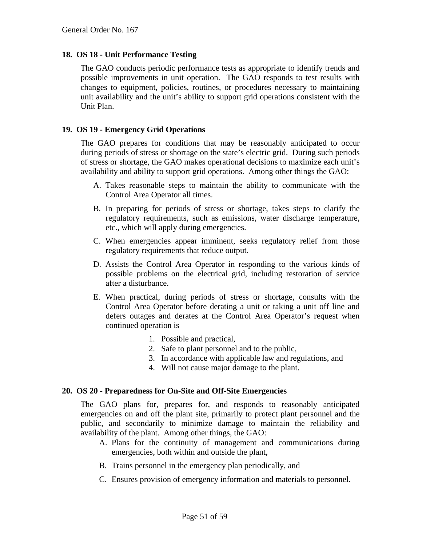#### **18. OS 18 - Unit Performance Testing**

The GAO conducts periodic performance tests as appropriate to identify trends and possible improvements in unit operation. The GAO responds to test results with changes to equipment, policies, routines, or procedures necessary to maintaining unit availability and the unit's ability to support grid operations consistent with the Unit Plan.

#### **19. OS 19 - Emergency Grid Operations**

The GAO prepares for conditions that may be reasonably anticipated to occur during periods of stress or shortage on the state's electric grid. During such periods of stress or shortage, the GAO makes operational decisions to maximize each unit's availability and ability to support grid operations. Among other things the GAO:

- A. Takes reasonable steps to maintain the ability to communicate with the Control Area Operator all times.
- B. In preparing for periods of stress or shortage, takes steps to clarify the regulatory requirements, such as emissions, water discharge temperature, etc., which will apply during emergencies.
- C. When emergencies appear imminent, seeks regulatory relief from those regulatory requirements that reduce output.
- D. Assists the Control Area Operator in responding to the various kinds of possible problems on the electrical grid, including restoration of service after a disturbance.
- E. When practical, during periods of stress or shortage, consults with the Control Area Operator before derating a unit or taking a unit off line and defers outages and derates at the Control Area Operator's request when continued operation is
	- 1. Possible and practical,
	- 2. Safe to plant personnel and to the public,
	- 3. In accordance with applicable law and regulations, and
	- 4. Will not cause major damage to the plant.

#### **20. OS 20 - Preparedness for On-Site and Off-Site Emergencies**

The GAO plans for, prepares for, and responds to reasonably anticipated emergencies on and off the plant site, primarily to protect plant personnel and the public, and secondarily to minimize damage to maintain the reliability and availability of the plant. Among other things, the GAO:

- A. Plans for the continuity of management and communications during emergencies, both within and outside the plant,
- B. Trains personnel in the emergency plan periodically, and
- C. Ensures provision of emergency information and materials to personnel.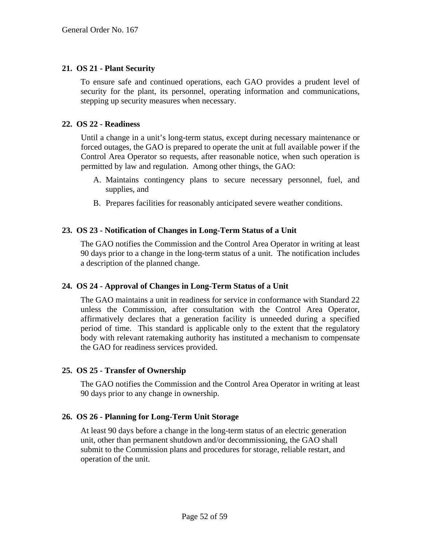#### **21. OS 21 - Plant Security**

To ensure safe and continued operations, each GAO provides a prudent level of security for the plant, its personnel, operating information and communications, stepping up security measures when necessary.

#### **22. OS 22 - Readiness**

Until a change in a unit's long-term status, except during necessary maintenance or forced outages, the GAO is prepared to operate the unit at full available power if the Control Area Operator so requests, after reasonable notice, when such operation is permitted by law and regulation. Among other things, the GAO:

- A. Maintains contingency plans to secure necessary personnel, fuel, and supplies, and
- B. Prepares facilities for reasonably anticipated severe weather conditions.

#### **23. OS 23 - Notification of Changes in Long-Term Status of a Unit**

The GAO notifies the Commission and the Control Area Operator in writing at least 90 days prior to a change in the long-term status of a unit. The notification includes a description of the planned change.

#### **24. OS 24 - Approval of Changes in Long-Term Status of a Unit**

The GAO maintains a unit in readiness for service in conformance with Standard 22 unless the Commission, after consultation with the Control Area Operator, affirmatively declares that a generation facility is unneeded during a specified period of time. This standard is applicable only to the extent that the regulatory body with relevant ratemaking authority has instituted a mechanism to compensate the GAO for readiness services provided.

#### **25. OS 25 - Transfer of Ownership**

The GAO notifies the Commission and the Control Area Operator in writing at least 90 days prior to any change in ownership.

#### **26. OS 26 - Planning for Long-Term Unit Storage**

At least 90 days before a change in the long-term status of an electric generation unit, other than permanent shutdown and/or decommissioning, the GAO shall submit to the Commission plans and procedures for storage, reliable restart, and operation of the unit.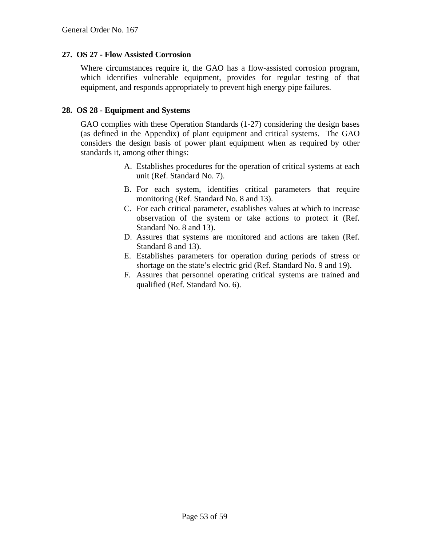#### **27. OS 27 - Flow Assisted Corrosion**

Where circumstances require it, the GAO has a flow-assisted corrosion program, which identifies vulnerable equipment, provides for regular testing of that equipment, and responds appropriately to prevent high energy pipe failures.

#### **28. OS 28 - Equipment and Systems**

GAO complies with these Operation Standards (1-27) considering the design bases (as defined in the Appendix) of plant equipment and critical systems. The GAO considers the design basis of power plant equipment when as required by other standards it, among other things:

- A. Establishes procedures for the operation of critical systems at each unit (Ref. Standard No. 7).
- B. For each system, identifies critical parameters that require monitoring (Ref. Standard No. 8 and 13).
- C. For each critical parameter, establishes values at which to increase observation of the system or take actions to protect it (Ref. Standard No. 8 and 13).
- D. Assures that systems are monitored and actions are taken (Ref. Standard 8 and 13).
- E. Establishes parameters for operation during periods of stress or shortage on the state's electric grid (Ref. Standard No. 9 and 19).
- F. Assures that personnel operating critical systems are trained and qualified (Ref. Standard No. 6).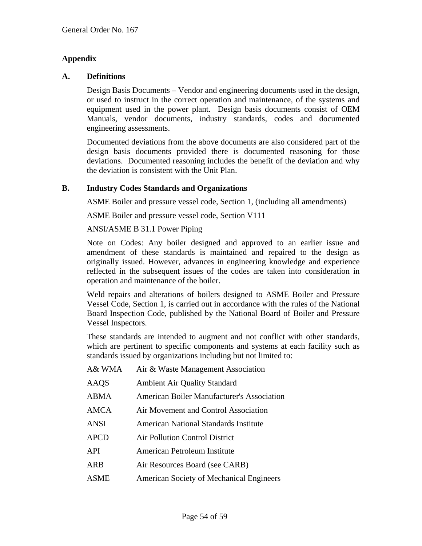#### **Appendix**

#### **A. Definitions**

Design Basis Documents – Vendor and engineering documents used in the design, or used to instruct in the correct operation and maintenance, of the systems and equipment used in the power plant. Design basis documents consist of OEM Manuals, vendor documents, industry standards, codes and documented engineering assessments.

Documented deviations from the above documents are also considered part of the design basis documents provided there is documented reasoning for those deviations. Documented reasoning includes the benefit of the deviation and why the deviation is consistent with the Unit Plan.

#### **B. Industry Codes Standards and Organizations**

ASME Boiler and pressure vessel code, Section 1, (including all amendments)

ASME Boiler and pressure vessel code, Section V111

#### ANSI/ASME B 31.1 Power Piping

Note on Codes: Any boiler designed and approved to an earlier issue and amendment of these standards is maintained and repaired to the design as originally issued. However, advances in engineering knowledge and experience reflected in the subsequent issues of the codes are taken into consideration in operation and maintenance of the boiler.

Weld repairs and alterations of boilers designed to ASME Boiler and Pressure Vessel Code, Section 1, is carried out in accordance with the rules of the National Board Inspection Code, published by the National Board of Boiler and Pressure Vessel Inspectors.

These standards are intended to augment and not conflict with other standards, which are pertinent to specific components and systems at each facility such as standards issued by organizations including but not limited to:

| A& WMA      | Air & Waste Management Association                |
|-------------|---------------------------------------------------|
| AAQS        | <b>Ambient Air Quality Standard</b>               |
| ABMA        | <b>American Boiler Manufacturer's Association</b> |
| AMCA        | Air Movement and Control Association              |
| ANSI        | American National Standards Institute             |
| <b>APCD</b> | <b>Air Pollution Control District</b>             |
| API         | American Petroleum Institute                      |
| ARB         | Air Resources Board (see CARB)                    |
| ASME        | American Society of Mechanical Engineers          |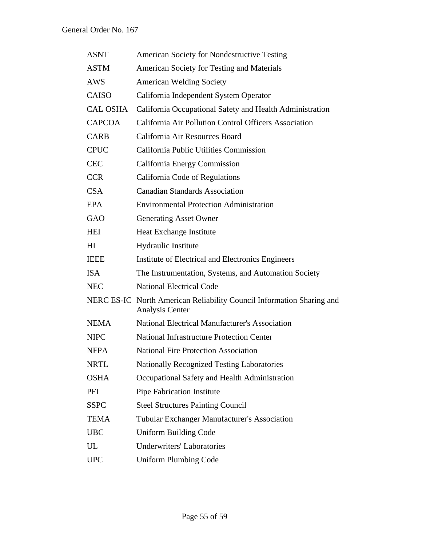| <b>ASNT</b>     | American Society for Nondestructive Testing                                                     |
|-----------------|-------------------------------------------------------------------------------------------------|
| <b>ASTM</b>     | American Society for Testing and Materials                                                      |
| AWS             | <b>American Welding Society</b>                                                                 |
| <b>CAISO</b>    | California Independent System Operator                                                          |
| <b>CAL OSHA</b> | California Occupational Safety and Health Administration                                        |
| <b>CAPCOA</b>   | California Air Pollution Control Officers Association                                           |
| <b>CARB</b>     | California Air Resources Board                                                                  |
| <b>CPUC</b>     | California Public Utilities Commission                                                          |
| <b>CEC</b>      | California Energy Commission                                                                    |
| <b>CCR</b>      | California Code of Regulations                                                                  |
| <b>CSA</b>      | <b>Canadian Standards Association</b>                                                           |
| <b>EPA</b>      | <b>Environmental Protection Administration</b>                                                  |
| <b>GAO</b>      | <b>Generating Asset Owner</b>                                                                   |
| <b>HEI</b>      | Heat Exchange Institute                                                                         |
| H <sub>I</sub>  | Hydraulic Institute                                                                             |
| <b>IEEE</b>     | Institute of Electrical and Electronics Engineers                                               |
| <b>ISA</b>      | The Instrumentation, Systems, and Automation Society                                            |
| <b>NEC</b>      | <b>National Electrical Code</b>                                                                 |
|                 | NERC ES-IC North American Reliability Council Information Sharing and<br><b>Analysis Center</b> |
| <b>NEMA</b>     | <b>National Electrical Manufacturer's Association</b>                                           |
| <b>NIPC</b>     | <b>National Infrastructure Protection Center</b>                                                |
| <b>NFPA</b>     | <b>National Fire Protection Association</b>                                                     |
| <b>NRTL</b>     | <b>Nationally Recognized Testing Laboratories</b>                                               |
| <b>OSHA</b>     | Occupational Safety and Health Administration                                                   |
| PFI             | Pipe Fabrication Institute                                                                      |
| <b>SSPC</b>     | <b>Steel Structures Painting Council</b>                                                        |
| <b>TEMA</b>     | <b>Tubular Exchanger Manufacturer's Association</b>                                             |
| <b>UBC</b>      | Uniform Building Code                                                                           |
| UL              | <b>Underwriters' Laboratories</b>                                                               |
| <b>UPC</b>      | <b>Uniform Plumbing Code</b>                                                                    |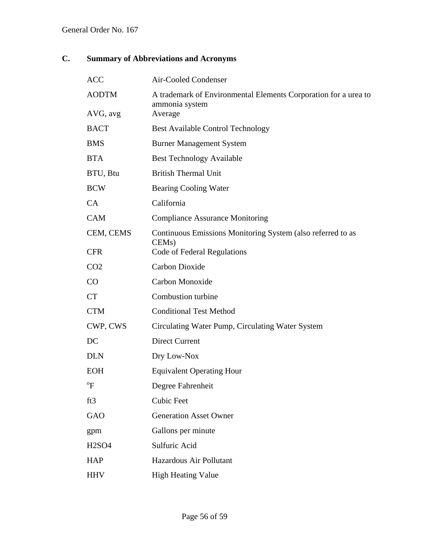# **C. Summary of Abbreviations and Acronyms**

| <b>ACC</b>      | Air-Cooled Condenser                                                              |  |
|-----------------|-----------------------------------------------------------------------------------|--|
| <b>AODTM</b>    | A trademark of Environmental Elements Corporation for a urea to<br>ammonia system |  |
| AVG, avg        | Average                                                                           |  |
| <b>BACT</b>     | <b>Best Available Control Technology</b>                                          |  |
| <b>BMS</b>      | <b>Burner Management System</b>                                                   |  |
| <b>BTA</b>      | <b>Best Technology Available</b>                                                  |  |
| BTU, Btu        | <b>British Thermal Unit</b>                                                       |  |
| <b>BCW</b>      | Bearing Cooling Water                                                             |  |
| CA              | California                                                                        |  |
| <b>CAM</b>      | <b>Compliance Assurance Monitoring</b>                                            |  |
| CEM, CEMS       | Continuous Emissions Monitoring System (also referred to as<br>CEMs)              |  |
| <b>CFR</b>      | Code of Federal Regulations                                                       |  |
| CO <sub>2</sub> | Carbon Dioxide                                                                    |  |
| CO              | Carbon Monoxide                                                                   |  |
| <b>CT</b>       | Combustion turbine                                                                |  |
| <b>CTM</b>      | <b>Conditional Test Method</b>                                                    |  |
| CWP, CWS        | Circulating Water Pump, Circulating Water System                                  |  |
| DC              | <b>Direct Current</b>                                                             |  |
| <b>DLN</b>      | Dry Low-Nox                                                                       |  |
| <b>EOH</b>      | <b>Equivalent Operating Hour</b>                                                  |  |
| $\mathrm{^oF}$  | Degree Fahrenheit                                                                 |  |
| ft3             | <b>Cubic Feet</b>                                                                 |  |
| <b>GAO</b>      | <b>Generation Asset Owner</b>                                                     |  |
| gpm             | Gallons per minute                                                                |  |
| <b>H2SO4</b>    | Sulfuric Acid                                                                     |  |
| <b>HAP</b>      | Hazardous Air Pollutant                                                           |  |
| <b>HHV</b>      | <b>High Heating Value</b>                                                         |  |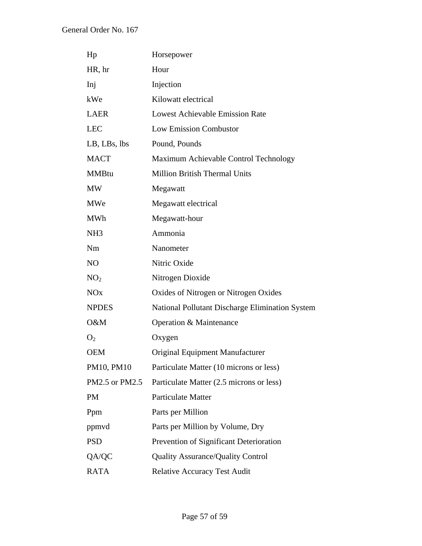| Hp                    | Horsepower                                      |
|-----------------------|-------------------------------------------------|
| HR, hr                | Hour                                            |
| Inj                   | Injection                                       |
| kWe                   | Kilowatt electrical                             |
| <b>LAER</b>           | <b>Lowest Achievable Emission Rate</b>          |
| <b>LEC</b>            | <b>Low Emission Combustor</b>                   |
| LB, LBs, lbs          | Pound, Pounds                                   |
| <b>MACT</b>           | Maximum Achievable Control Technology           |
| <b>MMBtu</b>          | <b>Million British Thermal Units</b>            |
| <b>MW</b>             | Megawatt                                        |
| MWe                   | Megawatt electrical                             |
| <b>MWh</b>            | Megawatt-hour                                   |
| NH <sub>3</sub>       | Ammonia                                         |
| Nm                    | Nanometer                                       |
| NO                    | Nitric Oxide                                    |
| NO <sub>2</sub>       | Nitrogen Dioxide                                |
| <b>NO<sub>x</sub></b> | Oxides of Nitrogen or Nitrogen Oxides           |
| <b>NPDES</b>          | National Pollutant Discharge Elimination System |
| O&M                   | Operation & Maintenance                         |
| O <sub>2</sub>        | Oxygen                                          |
| <b>OEM</b>            | Original Equipment Manufacturer                 |
| PM10, PM10            | Particulate Matter (10 microns or less)         |
| PM2.5 or PM2.5        | Particulate Matter (2.5 microns or less)        |
| PM                    | Particulate Matter                              |
| Ppm                   | Parts per Million                               |
| ppmyd                 | Parts per Million by Volume, Dry                |
| <b>PSD</b>            | Prevention of Significant Deterioration         |
| QA/QC                 | <b>Quality Assurance/Quality Control</b>        |
| <b>RATA</b>           | <b>Relative Accuracy Test Audit</b>             |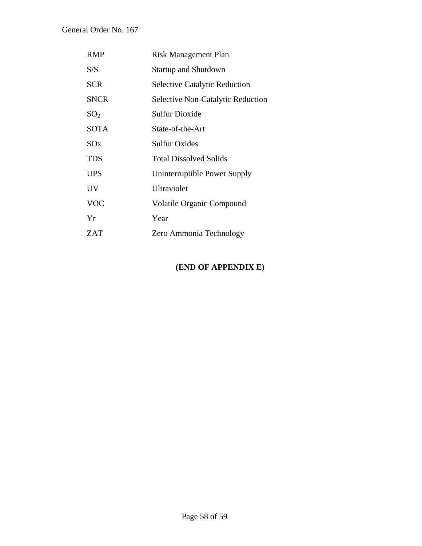| <b>RMP</b>      | Risk Management Plan                     |  |
|-----------------|------------------------------------------|--|
| S/S             | <b>Startup and Shutdown</b>              |  |
| <b>SCR</b>      | <b>Selective Catalytic Reduction</b>     |  |
| <b>SNCR</b>     | <b>Selective Non-Catalytic Reduction</b> |  |
| SO <sub>2</sub> | <b>Sulfur Dioxide</b>                    |  |
| <b>SOTA</b>     | State-of-the-Art                         |  |
| SOx             | <b>Sulfur Oxides</b>                     |  |
| <b>TDS</b>      | <b>Total Dissolved Solids</b>            |  |
| <b>UPS</b>      | Uninterruptible Power Supply             |  |
| UV              | Ultraviolet                              |  |
| <b>VOC</b>      | Volatile Organic Compound                |  |
| Yr              | Year                                     |  |
| ZAT             | Zero Ammonia Technology                  |  |

### **(END OF APPENDIX E)**